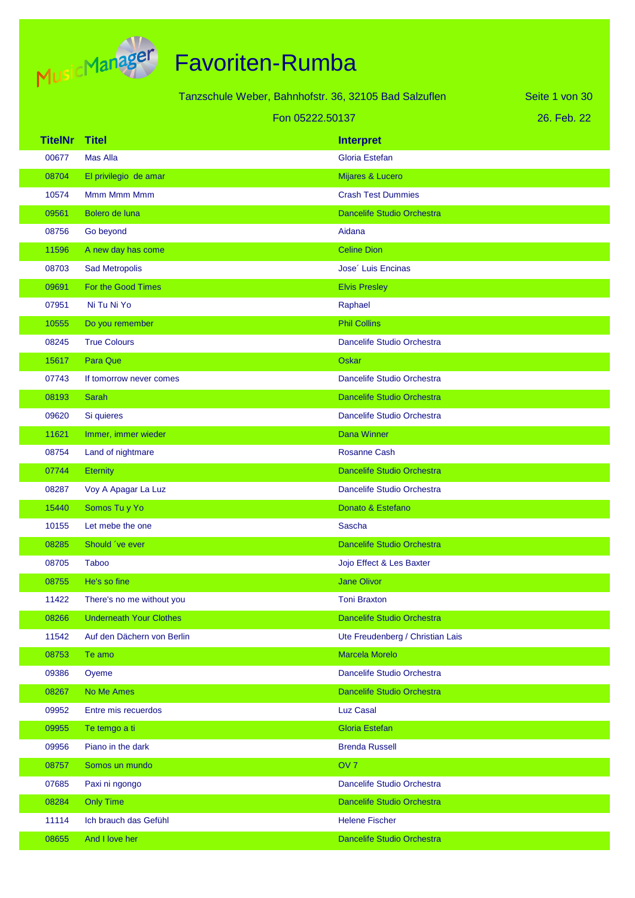

|                | <b>MUSICI PROVID</b>           |                                                       |                                   |                |
|----------------|--------------------------------|-------------------------------------------------------|-----------------------------------|----------------|
|                |                                | Tanzschule Weber, Bahnhofstr. 36, 32105 Bad Salzuflen |                                   | Seite 1 von 30 |
|                |                                | Fon 05222.50137                                       |                                   | 26. Feb. 22    |
| <b>TitelNr</b> | <b>Titel</b>                   |                                                       | <b>Interpret</b>                  |                |
| 00677          | <b>Mas Alla</b>                |                                                       | Gloria Estefan                    |                |
| 08704          | El privilegio de amar          |                                                       | Mijares & Lucero                  |                |
| 10574          | Mmm Mmm Mmm                    |                                                       | <b>Crash Test Dummies</b>         |                |
| 09561          | Bolero de luna                 |                                                       | <b>Dancelife Studio Orchestra</b> |                |
| 08756          | Go beyond                      |                                                       | Aidana                            |                |
| 11596          | A new day has come             |                                                       | <b>Celine Dion</b>                |                |
| 08703          | <b>Sad Metropolis</b>          |                                                       | Jose <sup>2</sup> Luis Encinas    |                |
| 09691          | For the Good Times             |                                                       | <b>Elvis Presley</b>              |                |
| 07951          | Ni Tu Ni Yo                    |                                                       | Raphael                           |                |
| 10555          | Do you remember                |                                                       | <b>Phil Collins</b>               |                |
| 08245          | <b>True Colours</b>            |                                                       | Dancelife Studio Orchestra        |                |
| 15617          | <b>Para Que</b>                |                                                       | <b>Oskar</b>                      |                |
| 07743          | If tomorrow never comes        |                                                       | Dancelife Studio Orchestra        |                |
| 08193          | Sarah                          |                                                       | <b>Dancelife Studio Orchestra</b> |                |
| 09620          | Si quieres                     |                                                       | Dancelife Studio Orchestra        |                |
| 11621          | Immer, immer wieder            |                                                       | <b>Dana Winner</b>                |                |
| 08754          | Land of nightmare              |                                                       | <b>Rosanne Cash</b>               |                |
| 07744          | <b>Eternity</b>                |                                                       | Dancelife Studio Orchestra        |                |
| 08287          | Voy A Apagar La Luz            |                                                       | Dancelife Studio Orchestra        |                |
| 15440          | Somos Tu y Yo                  |                                                       | Donato & Estefano                 |                |
| 10155          | Let mebe the one               |                                                       | Sascha                            |                |
| 08285          | Should 've ever                |                                                       | <b>Dancelife Studio Orchestra</b> |                |
| 08705          | <b>Taboo</b>                   |                                                       | Jojo Effect & Les Baxter          |                |
| 08755          | He's so fine                   |                                                       | <b>Jane Olivor</b>                |                |
| 11422          | There's no me without you      |                                                       | <b>Toni Braxton</b>               |                |
| 08266          | <b>Underneath Your Clothes</b> |                                                       | Dancelife Studio Orchestra        |                |
| 11542          | Auf den Dächern von Berlin     |                                                       | Ute Freudenberg / Christian Lais  |                |

| 08753 | Te amo                | Marcela Morelo             |
|-------|-----------------------|----------------------------|
| 09386 | Oyeme                 | Dancelife Studio Orchestra |
| 08267 | No Me Ames            | Dancelife Studio Orchestra |
| 09952 | Entre mis recuerdos   | Luz Casal                  |
| 09955 | Te temgo a ti         | Gloria Estefan             |
| 09956 | Piano in the dark     | <b>Brenda Russell</b>      |
| 08757 | Somos un mundo        | OV <sub>7</sub>            |
| 07685 | Paxi ni ngongo        | Dancelife Studio Orchestra |
| 08284 | <b>Only Time</b>      | Dancelife Studio Orchestra |
| 11114 | Ich brauch das Gefühl | <b>Helene Fischer</b>      |
| 08655 | And I love her        | Dancelife Studio Orchestra |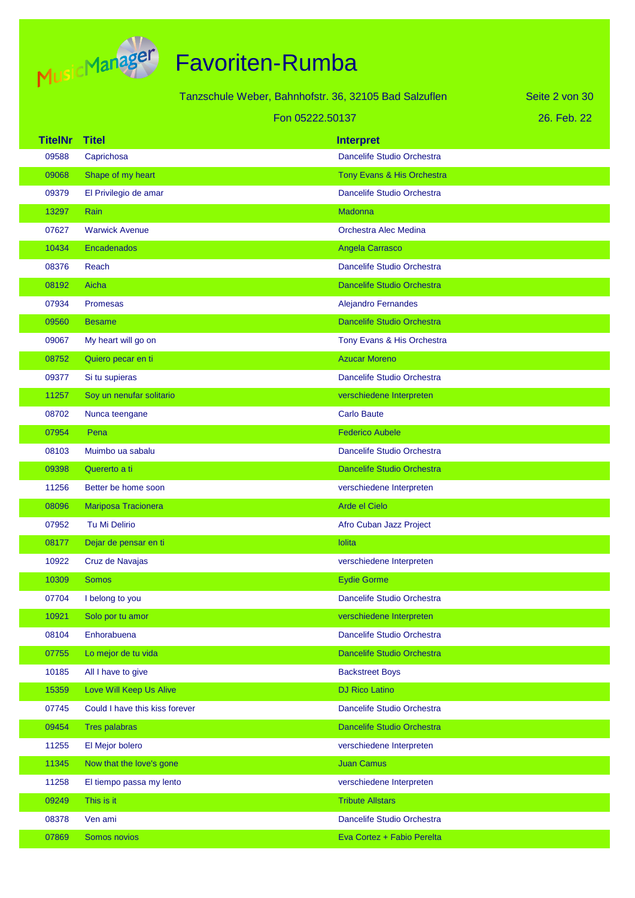

|                |                                | Tanzschule Weber, Bahnhofstr. 36, 32105 Bad Salzuflen | Seite 2 von 30 |
|----------------|--------------------------------|-------------------------------------------------------|----------------|
|                |                                | Fon 05222.50137                                       | 26. Feb. 22    |
| <b>TitelNr</b> | <b>Titel</b>                   | <b>Interpret</b>                                      |                |
| 09588          | Caprichosa                     | Dancelife Studio Orchestra                            |                |
| 09068          | Shape of my heart              | Tony Evans & His Orchestra                            |                |
| 09379          | El Privilegio de amar          | Dancelife Studio Orchestra                            |                |
| 13297          | Rain                           | Madonna                                               |                |
| 07627          | <b>Warwick Avenue</b>          | Orchestra Alec Medina                                 |                |
| 10434          | Encadenados                    | Angela Carrasco                                       |                |
| 08376          | Reach                          | Dancelife Studio Orchestra                            |                |
| 08192          | Aicha                          | <b>Dancelife Studio Orchestra</b>                     |                |
| 07934          | <b>Promesas</b>                | <b>Alejandro Fernandes</b>                            |                |
| 09560          | <b>Besame</b>                  | <b>Dancelife Studio Orchestra</b>                     |                |
| 09067          | My heart will go on            | Tony Evans & His Orchestra                            |                |
| 08752          | Quiero pecar en ti             | <b>Azucar Moreno</b>                                  |                |
| 09377          | Si tu supieras                 | Dancelife Studio Orchestra                            |                |
| 11257          | Soy un nenufar solitario       | verschiedene Interpreten                              |                |
| 08702          | Nunca teengane                 | <b>Carlo Baute</b>                                    |                |
| 07954          | Pena                           | <b>Federico Aubele</b>                                |                |
| 08103          | Muimbo ua sabalu               | Dancelife Studio Orchestra                            |                |
| 09398          | Quererto a ti                  | <b>Dancelife Studio Orchestra</b>                     |                |
| 11256          | Better be home soon            | verschiedene Interpreten                              |                |
| 08096          | Mariposa Tracionera            | Arde el Cielo                                         |                |
| 07952          | Tu Mi Delirio                  | Afro Cuban Jazz Project                               |                |
| 08177          | Dejar de pensar en ti          | lolita                                                |                |
| 10922          | Cruz de Navajas                | verschiedene Interpreten                              |                |
| 10309          | <b>Somos</b>                   | <b>Eydie Gorme</b>                                    |                |
| 07704          | I belong to you                | Dancelife Studio Orchestra                            |                |
| 10921          | Solo por tu amor               | verschiedene Interpreten                              |                |
| 08104          | Enhorabuena                    | Dancelife Studio Orchestra                            |                |
| 07755          | Lo mejor de tu vida            | Dancelife Studio Orchestra                            |                |
| 10185          | All I have to give             | <b>Backstreet Boys</b>                                |                |
| 15359          | Love Will Keep Us Alive        | <b>DJ Rico Latino</b>                                 |                |
| 07745          | Could I have this kiss forever | Dancelife Studio Orchestra                            |                |
| 09454          | <b>Tres palabras</b>           | Dancelife Studio Orchestra                            |                |
| 11255          | El Mejor bolero                | verschiedene Interpreten                              |                |
| 11345          | Now that the love's gone       | <b>Juan Camus</b>                                     |                |
| 11258          | El tiempo passa my lento       | verschiedene Interpreten                              |                |
| 09249          | This is it                     | <b>Tribute Allstars</b>                               |                |
| 08378          | Ven ami                        | Dancelife Studio Orchestra                            |                |
| 07869          | Somos novios                   | Eva Cortez + Fabio Perelta                            |                |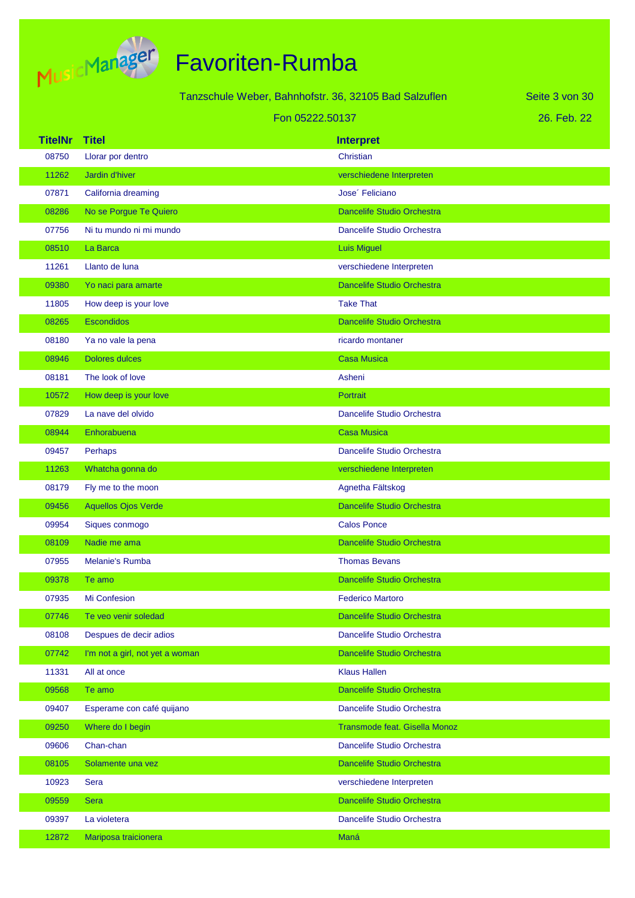

| Tanzschule Weber, Bahnhofstr. 36, 32105 Bad Salzuflen |                                 |  | Seite 3 von 30                    |  |
|-------------------------------------------------------|---------------------------------|--|-----------------------------------|--|
|                                                       | Fon 05222.50137                 |  | 26. Feb. 22                       |  |
| <b>TitelNr</b>                                        | <b>Titel</b>                    |  | <b>Interpret</b>                  |  |
| 08750                                                 | Llorar por dentro               |  | Christian                         |  |
| 11262                                                 | Jardin d'hiver                  |  | verschiedene Interpreten          |  |
| 07871                                                 | California dreaming             |  | Jose' Feliciano                   |  |
| 08286                                                 | No se Porgue Te Quiero          |  | <b>Dancelife Studio Orchestra</b> |  |
| 07756                                                 | Ni tu mundo ni mi mundo         |  | Dancelife Studio Orchestra        |  |
| 08510                                                 | La Barca                        |  | <b>Luis Miguel</b>                |  |
| 11261                                                 | Llanto de luna                  |  | verschiedene Interpreten          |  |
| 09380                                                 | Yo naci para amarte             |  | <b>Dancelife Studio Orchestra</b> |  |
| 11805                                                 | How deep is your love           |  | <b>Take That</b>                  |  |
| 08265                                                 | <b>Escondidos</b>               |  | <b>Dancelife Studio Orchestra</b> |  |
| 08180                                                 | Ya no vale la pena              |  | ricardo montaner                  |  |
| 08946                                                 | <b>Dolores dulces</b>           |  | <b>Casa Musica</b>                |  |
| 08181                                                 | The look of love                |  | Asheni                            |  |
| 10572                                                 | How deep is your love           |  | Portrait                          |  |
| 07829                                                 | La nave del olvido              |  | Dancelife Studio Orchestra        |  |
| 08944                                                 | Enhorabuena                     |  | <b>Casa Musica</b>                |  |
| 09457                                                 | Perhaps                         |  | Dancelife Studio Orchestra        |  |
| 11263                                                 | Whatcha gonna do                |  | verschiedene Interpreten          |  |
| 08179                                                 | Fly me to the moon              |  | Agnetha Fältskog                  |  |
| 09456                                                 | <b>Aquellos Ojos Verde</b>      |  | <b>Dancelife Studio Orchestra</b> |  |
| 09954                                                 | Siques conmogo                  |  | <b>Calos Ponce</b>                |  |
| 08109                                                 | Nadie me ama                    |  | <b>Dancelife Studio Orchestra</b> |  |
| 07955                                                 | <b>Melanie's Rumba</b>          |  | <b>Thomas Bevans</b>              |  |
| 09378                                                 | Te amo                          |  | <b>Dancelife Studio Orchestra</b> |  |
| 07935                                                 | Mi Confesion                    |  | <b>Federico Martoro</b>           |  |
| 07746                                                 | Te veo venir soledad            |  | Dancelife Studio Orchestra        |  |
| 08108                                                 | Despues de decir adios          |  | Dancelife Studio Orchestra        |  |
| 07742                                                 | I'm not a girl, not yet a woman |  | Dancelife Studio Orchestra        |  |
| 11331                                                 | All at once                     |  | <b>Klaus Hallen</b>               |  |
| 09568                                                 | Te amo                          |  | Dancelife Studio Orchestra        |  |
| 09407                                                 | Esperame con café quijano       |  | Dancelife Studio Orchestra        |  |
| 09250                                                 | Where do I begin                |  | Transmode feat. Gisella Monoz     |  |
| 09606                                                 | Chan-chan                       |  | Dancelife Studio Orchestra        |  |
| 08105                                                 | Solamente una vez               |  | Dancelife Studio Orchestra        |  |
| 10923                                                 | Sera                            |  | verschiedene Interpreten          |  |
| 09559                                                 | <b>Sera</b>                     |  | Dancelife Studio Orchestra        |  |
| 09397                                                 | La violetera                    |  | Dancelife Studio Orchestra        |  |
| 12872                                                 | Mariposa traicionera            |  | Maná                              |  |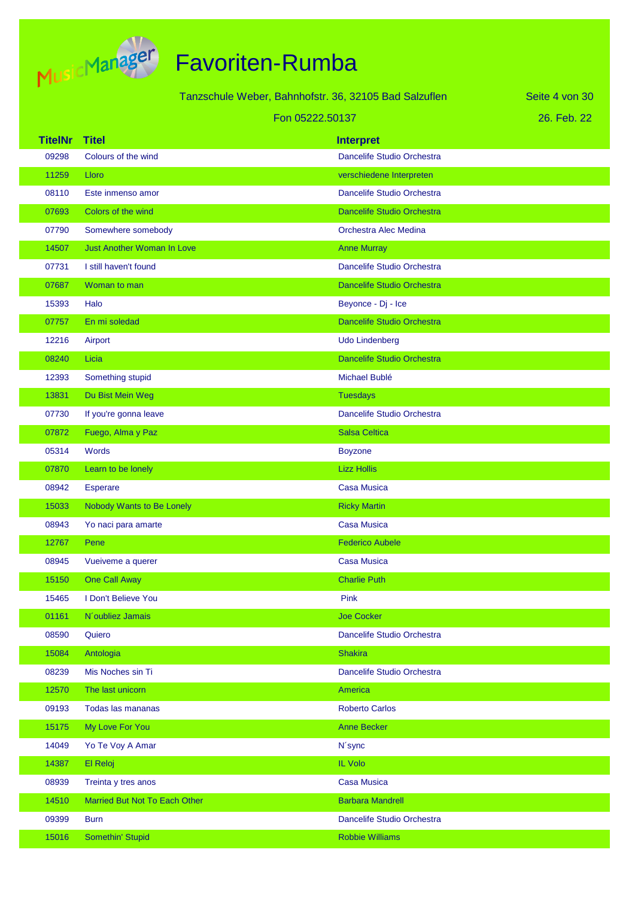

| Tanzschule Weber, Bahnhofstr. 36, 32105 Bad Salzuflen |                                   |                                   | Seite 4 von 30 |
|-------------------------------------------------------|-----------------------------------|-----------------------------------|----------------|
|                                                       | Fon 05222.50137                   |                                   | 26. Feb. 22    |
| <b>TitelNr</b>                                        | <b>Titel</b>                      | <b>Interpret</b>                  |                |
| 09298                                                 | Colours of the wind               | Dancelife Studio Orchestra        |                |
| 11259                                                 | Lloro                             | verschiedene Interpreten          |                |
| 08110                                                 | Este inmenso amor                 | Dancelife Studio Orchestra        |                |
| 07693                                                 | Colors of the wind                | <b>Dancelife Studio Orchestra</b> |                |
| 07790                                                 | Somewhere somebody                | Orchestra Alec Medina             |                |
| 14507                                                 | <b>Just Another Woman In Love</b> | <b>Anne Murray</b>                |                |
| 07731                                                 | I still haven't found             | Dancelife Studio Orchestra        |                |
| 07687                                                 | Woman to man                      | Dancelife Studio Orchestra        |                |
| 15393                                                 | Halo                              | Beyonce - Dj - Ice                |                |
| 07757                                                 | En mi soledad                     | <b>Dancelife Studio Orchestra</b> |                |
| 12216                                                 | Airport                           | Udo Lindenberg                    |                |
| 08240                                                 | Licia                             | Dancelife Studio Orchestra        |                |
| 12393                                                 | Something stupid                  | Michael Bublé                     |                |
| 13831                                                 | Du Bist Mein Weg                  | <b>Tuesdays</b>                   |                |
| 07730                                                 | If you're gonna leave             | Dancelife Studio Orchestra        |                |
| 07872                                                 | Fuego, Alma y Paz                 | <b>Salsa Celtica</b>              |                |
| 05314                                                 | Words                             | <b>Boyzone</b>                    |                |
| 07870                                                 | Learn to be lonely                | <b>Lizz Hollis</b>                |                |
| 08942                                                 | <b>Esperare</b>                   | <b>Casa Musica</b>                |                |
| 15033                                                 | Nobody Wants to Be Lonely         | <b>Ricky Martin</b>               |                |
| 08943                                                 | Yo naci para amarte               | <b>Casa Musica</b>                |                |
| 12767                                                 | Pene                              | <b>Federico Aubele</b>            |                |
| 08945                                                 | Vueiveme a querer                 | <b>Casa Musica</b>                |                |
| 15150                                                 | One Call Away                     | <b>Charlie Puth</b>               |                |
| 15465                                                 | I Don't Believe You               | Pink                              |                |
| 01161                                                 | N'oubliez Jamais                  | <b>Joe Cocker</b>                 |                |
| 08590                                                 | Quiero                            | Dancelife Studio Orchestra        |                |
| 15084                                                 | Antologia                         | <b>Shakira</b>                    |                |
| 08239                                                 | Mis Noches sin Ti                 | Dancelife Studio Orchestra        |                |
| 12570                                                 | The last unicorn                  | America                           |                |
| 09193                                                 | Todas las mananas                 | <b>Roberto Carlos</b>             |                |
| 15175                                                 | My Love For You                   | <b>Anne Becker</b>                |                |
| 14049                                                 | Yo Te Voy A Amar                  | N'sync                            |                |
| 14387                                                 | El Reloj                          | <b>IL Volo</b>                    |                |
| 08939                                                 | Treinta y tres anos               | <b>Casa Musica</b>                |                |
| 14510                                                 | Married But Not To Each Other     | <b>Barbara Mandrell</b>           |                |
| 09399                                                 | <b>Burn</b>                       | Dancelife Studio Orchestra        |                |
| 15016                                                 | Somethin' Stupid                  | <b>Robbie Williams</b>            |                |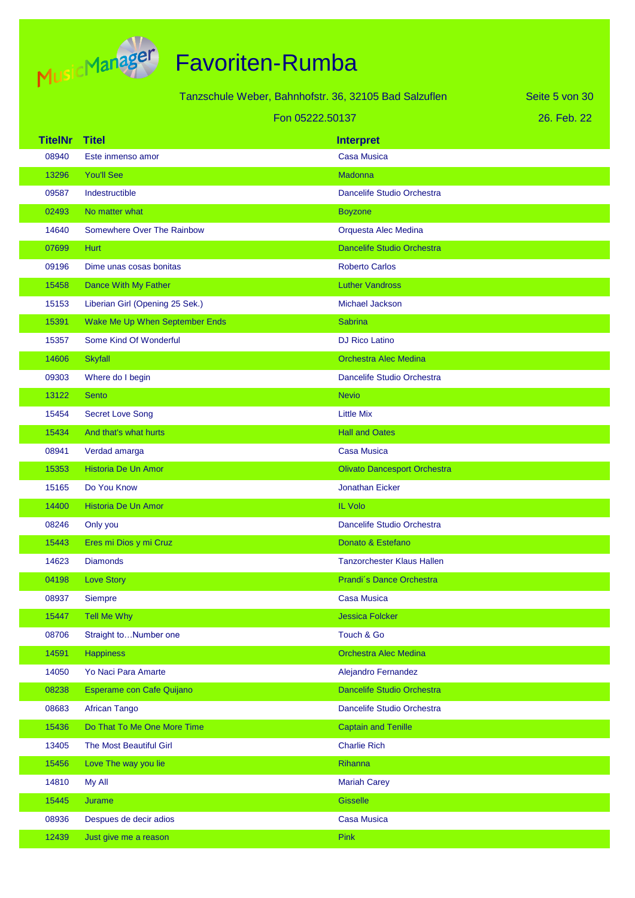

| Tanzschule Weber, Bahnhofstr. 36, 32105 Bad Salzuflen<br>Seite 5 von 30 |                                 |                                     |             |
|-------------------------------------------------------------------------|---------------------------------|-------------------------------------|-------------|
| Fon 05222.50137                                                         |                                 |                                     | 26. Feb. 22 |
| <b>TitelNr</b>                                                          | <b>Titel</b>                    | <b>Interpret</b>                    |             |
| 08940                                                                   | Este inmenso amor               | <b>Casa Musica</b>                  |             |
| 13296                                                                   | <b>You'll See</b>               | Madonna                             |             |
| 09587                                                                   | Indestructible                  | Dancelife Studio Orchestra          |             |
| 02493                                                                   | No matter what                  | <b>Boyzone</b>                      |             |
| 14640                                                                   | Somewhere Over The Rainbow      | Orquesta Alec Medina                |             |
| 07699                                                                   | <b>Hurt</b>                     | <b>Dancelife Studio Orchestra</b>   |             |
| 09196                                                                   | Dime unas cosas bonitas         | <b>Roberto Carlos</b>               |             |
| 15458                                                                   | Dance With My Father            | <b>Luther Vandross</b>              |             |
| 15153                                                                   | Liberian Girl (Opening 25 Sek.) | Michael Jackson                     |             |
| 15391                                                                   | Wake Me Up When September Ends  | <b>Sabrina</b>                      |             |
| 15357                                                                   | Some Kind Of Wonderful          | <b>DJ Rico Latino</b>               |             |
| 14606                                                                   | <b>Skyfall</b>                  | <b>Orchestra Alec Medina</b>        |             |
| 09303                                                                   | Where do I begin                | Dancelife Studio Orchestra          |             |
| 13122                                                                   | <b>Sento</b>                    | <b>Nevio</b>                        |             |
| 15454                                                                   | <b>Secret Love Song</b>         | <b>Little Mix</b>                   |             |
| 15434                                                                   | And that's what hurts           | <b>Hall and Oates</b>               |             |
| 08941                                                                   | Verdad amarga                   | <b>Casa Musica</b>                  |             |
| 15353                                                                   | Historia De Un Amor             | <b>Olivato Dancesport Orchestra</b> |             |
| 15165                                                                   | Do You Know                     | <b>Jonathan Eicker</b>              |             |
| 14400                                                                   | Historia De Un Amor             | <b>IL Volo</b>                      |             |
| 08246                                                                   | Only you                        | Dancelife Studio Orchestra          |             |
| 15443                                                                   | Eres mi Dios y mi Cruz          | Donato & Estefano                   |             |
| 14623                                                                   | <b>Diamonds</b>                 | <b>Tanzorchester Klaus Hallen</b>   |             |
| 04198                                                                   | <b>Love Story</b>               | Prandi's Dance Orchestra            |             |
| 08937                                                                   | Siempre                         | <b>Casa Musica</b>                  |             |
| 15447                                                                   | <b>Tell Me Why</b>              | <b>Jessica Folcker</b>              |             |
| 08706                                                                   | Straight toNumber one           | Touch & Go                          |             |
| 14591                                                                   | <b>Happiness</b>                | <b>Orchestra Alec Medina</b>        |             |
| 14050                                                                   | Yo Naci Para Amarte             | Alejandro Fernandez                 |             |
| 08238                                                                   | Esperame con Cafe Quijano       | Dancelife Studio Orchestra          |             |
| 08683                                                                   | <b>African Tango</b>            | Dancelife Studio Orchestra          |             |
| 15436                                                                   | Do That To Me One More Time     | <b>Captain and Tenille</b>          |             |
| 13405                                                                   | The Most Beautiful Girl         | <b>Charlie Rich</b>                 |             |
| 15456                                                                   | Love The way you lie            | Rihanna                             |             |
| 14810                                                                   | My All                          | <b>Mariah Carey</b>                 |             |
| 15445                                                                   | Jurame                          | <b>Gisselle</b>                     |             |
| 08936                                                                   | Despues de decir adios          | <b>Casa Musica</b>                  |             |
| 12439                                                                   | Just give me a reason           | Pink                                |             |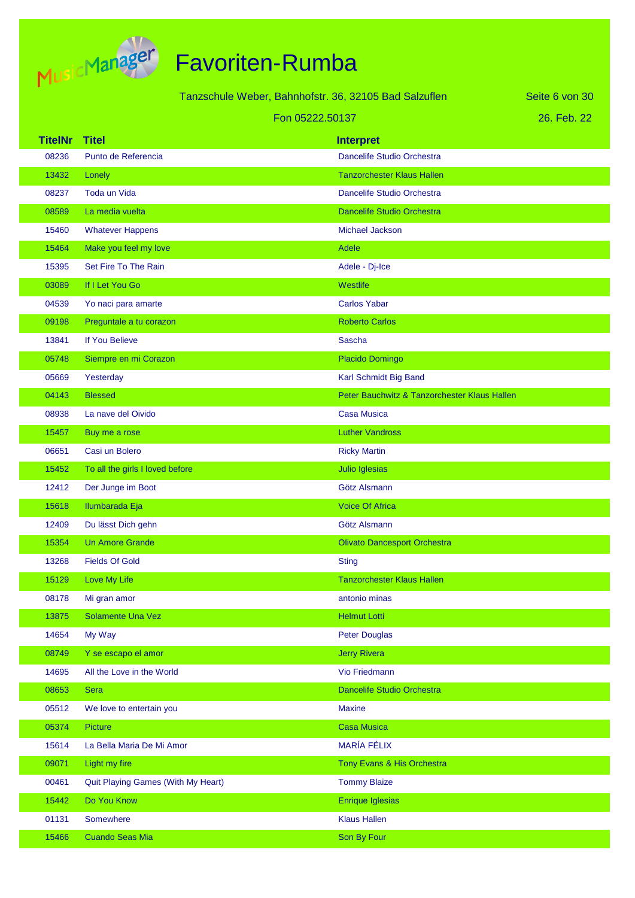

|                |                                    | Tanzschule Weber, Bahnhofstr. 36, 32105 Bad Salzuflen | Seite 6 von 30 |
|----------------|------------------------------------|-------------------------------------------------------|----------------|
|                |                                    | Fon 05222.50137                                       | 26. Feb. 22    |
| <b>TitelNr</b> | <b>Titel</b>                       | <b>Interpret</b>                                      |                |
| 08236          | Punto de Referencia                | Dancelife Studio Orchestra                            |                |
| 13432          | Lonely                             | <b>Tanzorchester Klaus Hallen</b>                     |                |
| 08237          | <b>Toda un Vida</b>                | Dancelife Studio Orchestra                            |                |
| 08589          | La media vuelta                    | <b>Dancelife Studio Orchestra</b>                     |                |
| 15460          | <b>Whatever Happens</b>            | <b>Michael Jackson</b>                                |                |
| 15464          | Make you feel my love              | <b>Adele</b>                                          |                |
| 15395          | Set Fire To The Rain               | Adele - Dj-Ice                                        |                |
| 03089          | If I Let You Go                    | Westlife                                              |                |
| 04539          | Yo naci para amarte                | <b>Carlos Yabar</b>                                   |                |
| 09198          | Preguntale a tu corazon            | <b>Roberto Carlos</b>                                 |                |
| 13841          | If You Believe                     | <b>Sascha</b>                                         |                |
| 05748          | Siempre en mi Corazon              | Placido Domingo                                       |                |
| 05669          | Yesterday                          | Karl Schmidt Big Band                                 |                |
| 04143          | <b>Blessed</b>                     | Peter Bauchwitz & Tanzorchester Klaus Hallen          |                |
| 08938          | La nave del Oivido                 | <b>Casa Musica</b>                                    |                |
| 15457          | Buy me a rose                      | <b>Luther Vandross</b>                                |                |
| 06651          | Casi un Bolero                     | <b>Ricky Martin</b>                                   |                |
| 15452          | To all the girls I loved before    | Julio Iglesias                                        |                |
| 12412          | Der Junge im Boot                  | Götz Alsmann                                          |                |
| 15618          | Ilumbarada Eja                     | <b>Voice Of Africa</b>                                |                |
| 12409          | Du lässt Dich gehn                 | Götz Alsmann                                          |                |
| 15354          | <b>Un Amore Grande</b>             | <b>Olivato Dancesport Orchestra</b>                   |                |
| 13268          | <b>Fields Of Gold</b>              | <b>Sting</b>                                          |                |
| 15129          | Love My Life                       | <b>Tanzorchester Klaus Hallen</b>                     |                |
| 08178          | Mi gran amor                       | antonio minas                                         |                |
| 13875          | Solamente Una Vez                  | <b>Helmut Lotti</b>                                   |                |
| 14654          | My Way                             | <b>Peter Douglas</b>                                  |                |
| 08749          | Y se escapo el amor                | <b>Jerry Rivera</b>                                   |                |
| 14695          | All the Love in the World          | <b>Vio Friedmann</b>                                  |                |
| 08653          | <b>Sera</b>                        | Dancelife Studio Orchestra                            |                |
| 05512          | We love to entertain you           | <b>Maxine</b>                                         |                |
| 05374          | <b>Picture</b>                     | <b>Casa Musica</b>                                    |                |
| 15614          | La Bella Maria De Mi Amor          | <b>MARÍA FÉLIX</b>                                    |                |
| 09071          | Light my fire                      | Tony Evans & His Orchestra                            |                |
| 00461          | Quit Playing Games (With My Heart) | <b>Tommy Blaize</b>                                   |                |
| 15442          | Do You Know                        | <b>Enrique Iglesias</b>                               |                |
| 01131          | Somewhere                          | <b>Klaus Hallen</b>                                   |                |
| 15466          | <b>Cuando Seas Mia</b>             | Son By Four                                           |                |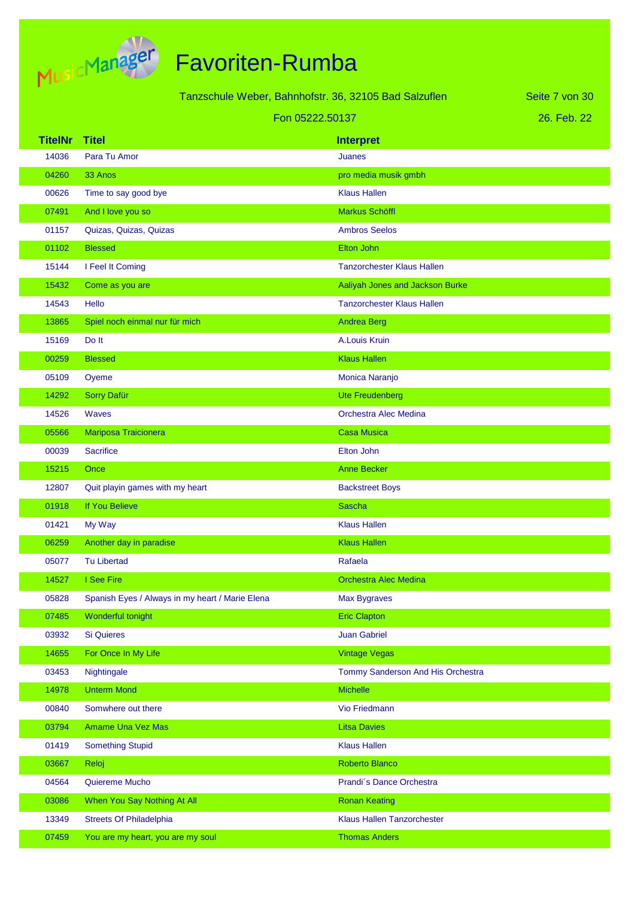

|                |                                                 | Tanzschule Weber, Bahnhofstr. 36, 32105 Bad Salzuflen | Seite 7 von 30 |
|----------------|-------------------------------------------------|-------------------------------------------------------|----------------|
|                |                                                 | Fon 05222.50137                                       | 26. Feb. 22    |
| <b>TitelNr</b> | <b>Titel</b>                                    | <b>Interpret</b>                                      |                |
| 14036          | Para Tu Amor                                    | <b>Juanes</b>                                         |                |
| 04260          | 33 Anos                                         | pro media musik gmbh                                  |                |
| 00626          | Time to say good bye                            | <b>Klaus Hallen</b>                                   |                |
| 07491          | And I love you so                               | Markus Schöffl                                        |                |
| 01157          | Quizas, Quizas, Quizas                          | <b>Ambros Seelos</b>                                  |                |
| 01102          | <b>Blessed</b>                                  | Elton John                                            |                |
| 15144          | I Feel It Coming                                | <b>Tanzorchester Klaus Hallen</b>                     |                |
| 15432          | Come as you are                                 | Aaliyah Jones and Jackson Burke                       |                |
| 14543          | Hello                                           | <b>Tanzorchester Klaus Hallen</b>                     |                |
| 13865          | Spiel noch einmal nur für mich                  | <b>Andrea Berg</b>                                    |                |
| 15169          | Do It                                           | A.Louis Kruin                                         |                |
| 00259          | <b>Blessed</b>                                  | <b>Klaus Hallen</b>                                   |                |
| 05109          | Oyeme                                           | Monica Naranjo                                        |                |
| 14292          | <b>Sorry Dafür</b>                              | <b>Ute Freudenberg</b>                                |                |
| 14526          | <b>Waves</b>                                    | <b>Orchestra Alec Medina</b>                          |                |
| 05566          | Mariposa Traicionera                            | <b>Casa Musica</b>                                    |                |
| 00039          | <b>Sacrifice</b>                                | Elton John                                            |                |
| 15215          | Once                                            | <b>Anne Becker</b>                                    |                |
| 12807          | Quit playin games with my heart                 | <b>Backstreet Boys</b>                                |                |
| 01918          | If You Believe                                  | <b>Sascha</b>                                         |                |
| 01421          | My Way                                          | <b>Klaus Hallen</b>                                   |                |
| 06259          | Another day in paradise                         | <b>Klaus Hallen</b>                                   |                |
| 05077          | <b>Tu Libertad</b>                              | Rafaela                                               |                |
| 14527          | I See Fire                                      | <b>Orchestra Alec Medina</b>                          |                |
| 05828          | Spanish Eyes / Always in my heart / Marie Elena | <b>Max Bygraves</b>                                   |                |
| 07485          | Wonderful tonight                               | <b>Eric Clapton</b>                                   |                |
| 03932          | <b>Si Quieres</b>                               | <b>Juan Gabriel</b>                                   |                |
| 14655          | For Once In My Life                             | <b>Vintage Vegas</b>                                  |                |
| 03453          | Nightingale                                     | Tommy Sanderson And His Orchestra                     |                |
| 14978          | <b>Unterm Mond</b>                              | Michelle                                              |                |
| 00840          | Somwhere out there                              | Vio Friedmann                                         |                |
| 03794          | <b>Amame Una Vez Mas</b>                        | <b>Litsa Davies</b>                                   |                |
| 01419          | <b>Something Stupid</b>                         | <b>Klaus Hallen</b>                                   |                |
| 03667          | Reloj                                           | Roberto Blanco                                        |                |
| 04564          | Quiereme Mucho                                  | Prandi's Dance Orchestra                              |                |
| 03086          | When You Say Nothing At All                     | <b>Ronan Keating</b>                                  |                |
| 13349          | <b>Streets Of Philadelphia</b>                  | Klaus Hallen Tanzorchester                            |                |
| 07459          | You are my heart, you are my soul               | <b>Thomas Anders</b>                                  |                |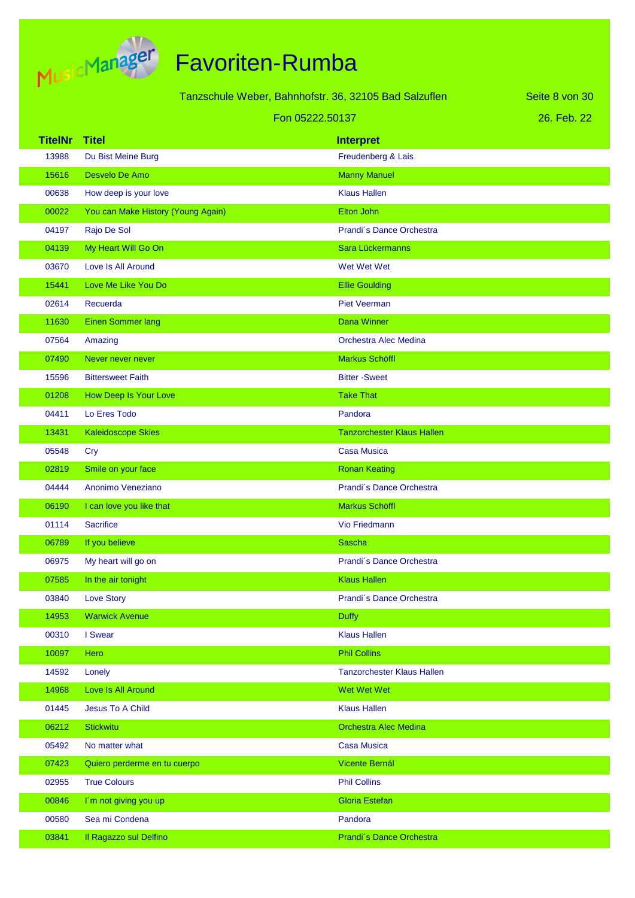

|                | Tanzschule Weber, Bahnhofstr. 36, 32105 Bad Salzuflen |                                   | Seite 8 von 30 |
|----------------|-------------------------------------------------------|-----------------------------------|----------------|
|                | Fon 05222.50137                                       |                                   | 26. Feb. 22    |
| <b>TitelNr</b> | <b>Titel</b>                                          | <b>Interpret</b>                  |                |
| 13988          | Du Bist Meine Burg                                    | Freudenberg & Lais                |                |
| 15616          | Desvelo De Amo                                        | <b>Manny Manuel</b>               |                |
| 00638          | How deep is your love                                 | <b>Klaus Hallen</b>               |                |
| 00022          | You can Make History (Young Again)                    | Elton John                        |                |
| 04197          | Rajo De Sol                                           | Prandi's Dance Orchestra          |                |
| 04139          | My Heart Will Go On                                   | Sara Lückermanns                  |                |
| 03670          | Love Is All Around                                    | Wet Wet Wet                       |                |
| 15441          | Love Me Like You Do                                   | <b>Ellie Goulding</b>             |                |
| 02614          | Recuerda                                              | <b>Piet Veerman</b>               |                |
| 11630          | <b>Einen Sommer lang</b>                              | <b>Dana Winner</b>                |                |
| 07564          | Amazing                                               | <b>Orchestra Alec Medina</b>      |                |
| 07490          | Never never never                                     | Markus Schöffl                    |                |
| 15596          | <b>Bittersweet Faith</b>                              | <b>Bitter-Sweet</b>               |                |
| 01208          | How Deep Is Your Love                                 | <b>Take That</b>                  |                |
| 04411          | Lo Eres Todo                                          | Pandora                           |                |
| 13431          | <b>Kaleidoscope Skies</b>                             | <b>Tanzorchester Klaus Hallen</b> |                |
| 05548          | Cry                                                   | <b>Casa Musica</b>                |                |
| 02819          | Smile on your face                                    | <b>Ronan Keating</b>              |                |
| 04444          | Anonimo Veneziano                                     | Prandi's Dance Orchestra          |                |
| 06190          | I can love you like that                              | Markus Schöffl                    |                |
| 01114          | <b>Sacrifice</b>                                      | Vio Friedmann                     |                |
| 06789          | If you believe                                        | <b>Sascha</b>                     |                |
| 06975          | My heart will go on                                   | Prandi's Dance Orchestra          |                |
| 07585          | In the air tonight                                    | <b>Klaus Hallen</b>               |                |
| 03840          | <b>Love Story</b>                                     | Prandi's Dance Orchestra          |                |
| 14953          | <b>Warwick Avenue</b>                                 | <b>Duffy</b>                      |                |
| 00310          | I Swear                                               | <b>Klaus Hallen</b>               |                |
| 10097          | Hero                                                  | <b>Phil Collins</b>               |                |
| 14592          | Lonely                                                | <b>Tanzorchester Klaus Hallen</b> |                |
| 14968          | Love Is All Around                                    | Wet Wet Wet                       |                |
| 01445          | Jesus To A Child                                      | <b>Klaus Hallen</b>               |                |
| 06212          | <b>Stickwitu</b>                                      | <b>Orchestra Alec Medina</b>      |                |
| 05492          | No matter what                                        | <b>Casa Musica</b>                |                |
| 07423          | Quiero perderme en tu cuerpo                          | Vicente Bernál                    |                |
| 02955          | <b>True Colours</b>                                   | <b>Phil Collins</b>               |                |
| 00846          | I'm not giving you up                                 | <b>Gloria Estefan</b>             |                |
| 00580          | Sea mi Condena                                        | Pandora                           |                |
| 03841          | Il Ragazzo sul Delfino                                | Prandi's Dance Orchestra          |                |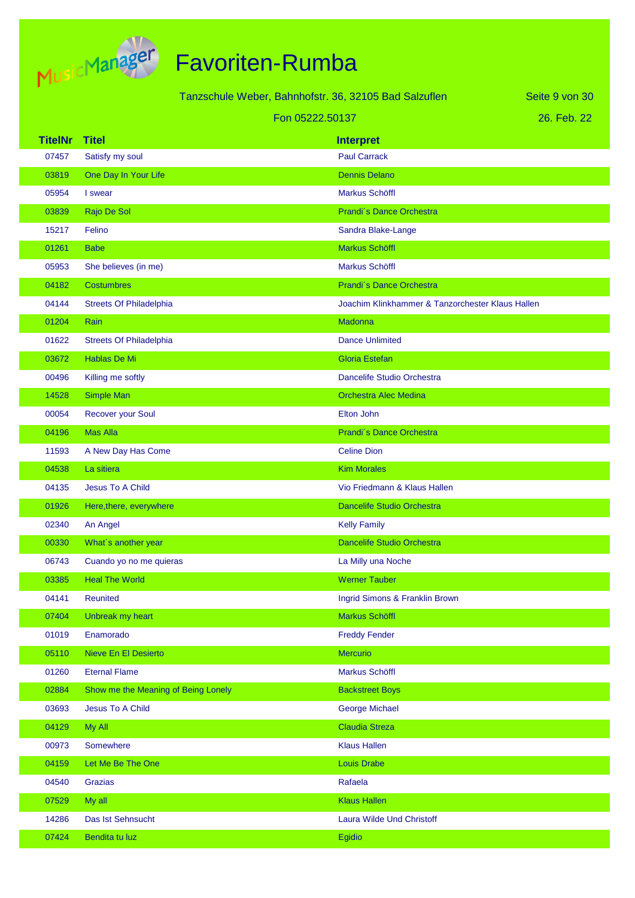

|                |                                     | Tanzschule Weber, Bahnhofstr. 36, 32105 Bad Salzuflen |                                                  | Seite 9 von 30 |
|----------------|-------------------------------------|-------------------------------------------------------|--------------------------------------------------|----------------|
|                |                                     | Fon 05222.50137                                       |                                                  | 26. Feb. 22    |
| <b>TitelNr</b> | <b>Titel</b>                        |                                                       | <b>Interpret</b>                                 |                |
| 07457          | Satisfy my soul                     |                                                       | <b>Paul Carrack</b>                              |                |
| 03819          | One Day In Your Life                |                                                       | <b>Dennis Delano</b>                             |                |
| 05954          | I swear                             |                                                       | <b>Markus Schöffl</b>                            |                |
| 03839          | Rajo De Sol                         |                                                       | Prandi's Dance Orchestra                         |                |
| 15217          | Felino                              |                                                       | Sandra Blake-Lange                               |                |
| 01261          | <b>Babe</b>                         |                                                       | Markus Schöffl                                   |                |
| 05953          | She believes (in me)                |                                                       | <b>Markus Schöffl</b>                            |                |
| 04182          | <b>Costumbres</b>                   |                                                       | Prandi's Dance Orchestra                         |                |
| 04144          | <b>Streets Of Philadelphia</b>      |                                                       | Joachim Klinkhammer & Tanzorchester Klaus Hallen |                |
| 01204          | Rain                                |                                                       | <b>Madonna</b>                                   |                |
| 01622          | <b>Streets Of Philadelphia</b>      |                                                       | <b>Dance Unlimited</b>                           |                |
| 03672          | Hablas De Mi                        |                                                       | <b>Gloria Estefan</b>                            |                |
| 00496          | Killing me softly                   |                                                       | Dancelife Studio Orchestra                       |                |
| 14528          | Simple Man                          |                                                       | <b>Orchestra Alec Medina</b>                     |                |
| 00054          | <b>Recover your Soul</b>            |                                                       | Elton John                                       |                |
| 04196          | <b>Mas Alla</b>                     |                                                       | Prandi's Dance Orchestra                         |                |
| 11593          | A New Day Has Come                  |                                                       | <b>Celine Dion</b>                               |                |
| 04538          | La sitiera                          |                                                       | <b>Kim Morales</b>                               |                |
| 04135          | <b>Jesus To A Child</b>             |                                                       | Vio Friedmann & Klaus Hallen                     |                |
| 01926          | Here, there, everywhere             |                                                       | <b>Dancelife Studio Orchestra</b>                |                |
| 02340          | An Angel                            |                                                       | <b>Kelly Family</b>                              |                |
| 00330          | What's another year                 |                                                       | <b>Dancelife Studio Orchestra</b>                |                |
| 06743          | Cuando yo no me quieras             |                                                       | La Milly una Noche                               |                |
| 03385          | <b>Heal The World</b>               |                                                       | <b>Werner Tauber</b>                             |                |
| 04141          | <b>Reunited</b>                     |                                                       | Ingrid Simons & Franklin Brown                   |                |
| 07404          | Unbreak my heart                    |                                                       | Markus Schöffl                                   |                |
| 01019          | Enamorado                           |                                                       | <b>Freddy Fender</b>                             |                |
| 05110          | <b>Nieve En El Desierto</b>         |                                                       | <b>Mercurio</b>                                  |                |
| 01260          | <b>Eternal Flame</b>                |                                                       | Markus Schöffl                                   |                |
| 02884          | Show me the Meaning of Being Lonely |                                                       | <b>Backstreet Boys</b>                           |                |
| 03693          | Jesus To A Child                    |                                                       | <b>George Michael</b>                            |                |
| 04129          | My All                              |                                                       | <b>Claudia Streza</b>                            |                |
| 00973          | Somewhere                           |                                                       | <b>Klaus Hallen</b>                              |                |
| 04159          | Let Me Be The One                   |                                                       | <b>Louis Drabe</b>                               |                |
| 04540          | Grazias                             |                                                       | Rafaela                                          |                |
| 07529          | My all                              |                                                       | <b>Klaus Hallen</b>                              |                |
| 14286          | Das Ist Sehnsucht                   |                                                       | Laura Wilde Und Christoff                        |                |
| 07424          | Bendita tu luz                      |                                                       | Egidio                                           |                |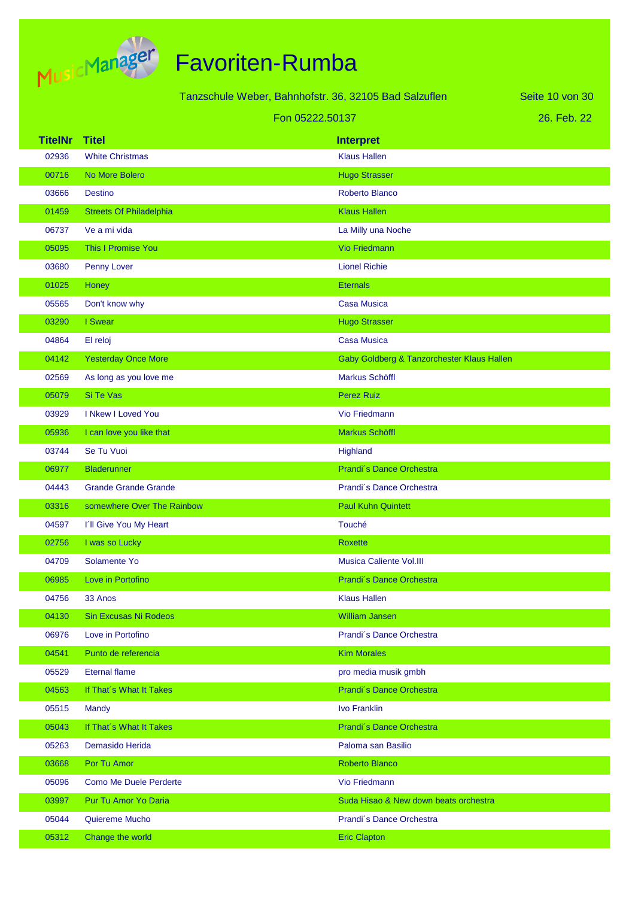

|                |                                | Tanzschule Weber, Bahnhofstr. 36, 32105 Bad Salzuflen | Seite 10 von 30                            |
|----------------|--------------------------------|-------------------------------------------------------|--------------------------------------------|
|                |                                | Fon 05222.50137                                       | 26. Feb. 22                                |
| <b>TitelNr</b> | <b>Titel</b>                   | <b>Interpret</b>                                      |                                            |
| 02936          | <b>White Christmas</b>         | <b>Klaus Hallen</b>                                   |                                            |
| 00716          | No More Bolero                 | <b>Hugo Strasser</b>                                  |                                            |
| 03666          | <b>Destino</b>                 | Roberto Blanco                                        |                                            |
| 01459          | <b>Streets Of Philadelphia</b> | <b>Klaus Hallen</b>                                   |                                            |
| 06737          | Ve a mi vida                   | La Milly una Noche                                    |                                            |
| 05095          | This I Promise You             | <b>Vio Friedmann</b>                                  |                                            |
| 03680          | Penny Lover                    | <b>Lionel Richie</b>                                  |                                            |
| 01025          | Honey                          | <b>Eternals</b>                                       |                                            |
| 05565          | Don't know why                 | <b>Casa Musica</b>                                    |                                            |
| 03290          | I Swear                        | <b>Hugo Strasser</b>                                  |                                            |
| 04864          | El reloj                       | <b>Casa Musica</b>                                    |                                            |
| 04142          | <b>Yesterday Once More</b>     |                                                       | Gaby Goldberg & Tanzorchester Klaus Hallen |
| 02569          | As long as you love me         | Markus Schöffl                                        |                                            |
| 05079          | Si Te Vas                      | <b>Perez Ruiz</b>                                     |                                            |
| 03929          | I Nkew I Loved You             | Vio Friedmann                                         |                                            |
| 05936          | I can love you like that       | Markus Schöffl                                        |                                            |
| 03744          | Se Tu Vuoi                     | Highland                                              |                                            |
| 06977          | <b>Bladerunner</b>             | Prandi's Dance Orchestra                              |                                            |
| 04443          | <b>Grande Grande Grande</b>    | Prandi's Dance Orchestra                              |                                            |
| 03316          | somewhere Over The Rainbow     | <b>Paul Kuhn Quintett</b>                             |                                            |
| 04597          | I'll Give You My Heart         | Touché                                                |                                            |
| 02756          | I was so Lucky                 | <b>Roxette</b>                                        |                                            |
| 04709          | Solamente Yo                   | <b>Musica Caliente Vol.III</b>                        |                                            |
| 06985          | Love in Portofino              | Prandi's Dance Orchestra                              |                                            |
| 04756          | 33 Anos                        | <b>Klaus Hallen</b>                                   |                                            |
| 04130          | <b>Sin Excusas Ni Rodeos</b>   | <b>William Jansen</b>                                 |                                            |
| 06976          | Love in Portofino              | Prandi's Dance Orchestra                              |                                            |
| 04541          | Punto de referencia            | <b>Kim Morales</b>                                    |                                            |
| 05529          | <b>Eternal flame</b>           | pro media musik gmbh                                  |                                            |
| 04563          | If That's What It Takes        | Prandi's Dance Orchestra                              |                                            |
| 05515          | Mandy                          | <b>Ivo Franklin</b>                                   |                                            |
| 05043          | If That's What It Takes        | Prandi's Dance Orchestra                              |                                            |
| 05263          | Demasido Herida                | Paloma san Basilio                                    |                                            |
| 03668          | Por Tu Amor                    | <b>Roberto Blanco</b>                                 |                                            |
| 05096          | <b>Como Me Duele Perderte</b>  | Vio Friedmann                                         |                                            |
| 03997          | Pur Tu Amor Yo Daria           | Suda Hisao & New down beats orchestra                 |                                            |
| 05044          | Quiereme Mucho                 | Prandi's Dance Orchestra                              |                                            |
| 05312          | Change the world               | <b>Eric Clapton</b>                                   |                                            |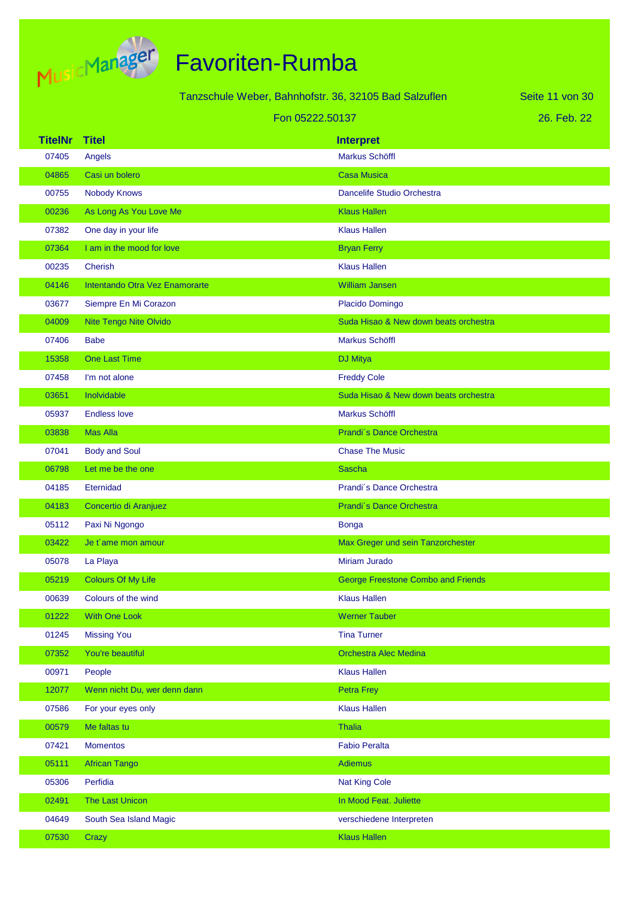

| Tanzschule Weber, Bahnhofstr. 36, 32105 Bad Salzuflen<br>Seite 11 von 30 |                                |                                           |  |  |
|--------------------------------------------------------------------------|--------------------------------|-------------------------------------------|--|--|
|                                                                          | Fon 05222.50137                |                                           |  |  |
| <b>TitelNr</b>                                                           | <b>Titel</b>                   | <b>Interpret</b>                          |  |  |
| 07405                                                                    | Angels                         | <b>Markus Schöffl</b>                     |  |  |
| 04865                                                                    | Casi un bolero                 | <b>Casa Musica</b>                        |  |  |
| 00755                                                                    | <b>Nobody Knows</b>            | Dancelife Studio Orchestra                |  |  |
| 00236                                                                    | As Long As You Love Me         | <b>Klaus Hallen</b>                       |  |  |
| 07382                                                                    | One day in your life           | <b>Klaus Hallen</b>                       |  |  |
| 07364                                                                    | I am in the mood for love      | <b>Bryan Ferry</b>                        |  |  |
| 00235                                                                    | Cherish                        | <b>Klaus Hallen</b>                       |  |  |
| 04146                                                                    | Intentando Otra Vez Enamorarte | <b>William Jansen</b>                     |  |  |
| 03677                                                                    | Siempre En Mi Corazon          | Placido Domingo                           |  |  |
| 04009                                                                    | Nite Tengo Nite Olvido         | Suda Hisao & New down beats orchestra     |  |  |
| 07406                                                                    | <b>Babe</b>                    | <b>Markus Schöffl</b>                     |  |  |
| 15358                                                                    | <b>One Last Time</b>           | <b>DJ Mitya</b>                           |  |  |
| 07458                                                                    | I'm not alone                  | <b>Freddy Cole</b>                        |  |  |
| 03651                                                                    | Inolvidable                    | Suda Hisao & New down beats orchestra     |  |  |
| 05937                                                                    | <b>Endless love</b>            | Markus Schöffl                            |  |  |
| 03838                                                                    | <b>Mas Alla</b>                | Prandi's Dance Orchestra                  |  |  |
| 07041                                                                    | <b>Body and Soul</b>           | <b>Chase The Music</b>                    |  |  |
| 06798                                                                    | Let me be the one              | <b>Sascha</b>                             |  |  |
| 04185                                                                    | Eternidad                      | Prandi's Dance Orchestra                  |  |  |
| 04183                                                                    | Concertio di Aranjuez          | Prandi's Dance Orchestra                  |  |  |
| 05112                                                                    | Paxi Ni Ngongo                 | <b>Bonga</b>                              |  |  |
| 03422                                                                    | Je t'ame mon amour             | Max Greger und sein Tanzorchester         |  |  |
| 05078                                                                    | La Playa                       | <b>Miriam Jurado</b>                      |  |  |
| 05219                                                                    | <b>Colours Of My Life</b>      | <b>George Freestone Combo and Friends</b> |  |  |
| 00639                                                                    | Colours of the wind            | <b>Klaus Hallen</b>                       |  |  |
| 01222                                                                    | <b>With One Look</b>           | <b>Werner Tauber</b>                      |  |  |
| 01245                                                                    | <b>Missing You</b>             | <b>Tina Turner</b>                        |  |  |
| 07352                                                                    | You're beautiful               | <b>Orchestra Alec Medina</b>              |  |  |
| 00971                                                                    | People                         | <b>Klaus Hallen</b>                       |  |  |
| 12077                                                                    | Wenn nicht Du, wer denn dann   | <b>Petra Frey</b>                         |  |  |
| 07586                                                                    | For your eyes only             | <b>Klaus Hallen</b>                       |  |  |
| 00579                                                                    | Me faltas tu                   | <b>Thalia</b>                             |  |  |
| 07421                                                                    | <b>Momentos</b>                | <b>Fabio Peralta</b>                      |  |  |
| 05111                                                                    | <b>African Tango</b>           | <b>Adiemus</b>                            |  |  |
| 05306                                                                    | Perfidia                       | <b>Nat King Cole</b>                      |  |  |
| 02491                                                                    | The Last Unicon                | In Mood Feat. Juliette                    |  |  |
| 04649                                                                    | South Sea Island Magic         | verschiedene Interpreten                  |  |  |
| 07530                                                                    | Crazy                          | <b>Klaus Hallen</b>                       |  |  |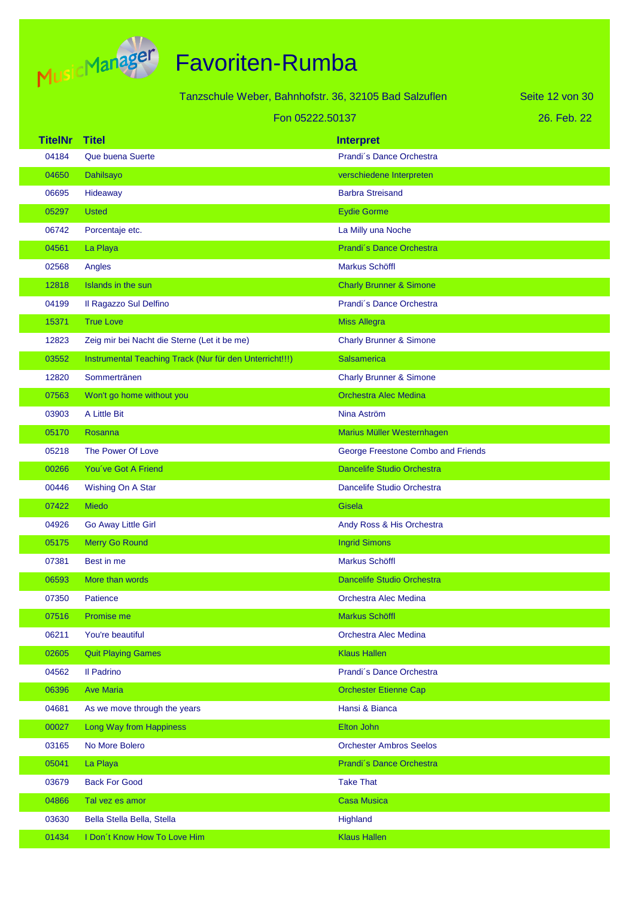

| Tanzschule Weber, Bahnhofstr. 36, 32105 Bad Salzuflen |                                                         |                                    | Seite 12 von 30 |
|-------------------------------------------------------|---------------------------------------------------------|------------------------------------|-----------------|
|                                                       | Fon 05222.50137                                         |                                    | 26. Feb. 22     |
| <b>TitelNr</b>                                        | <b>Titel</b>                                            | <b>Interpret</b>                   |                 |
| 04184                                                 | Que buena Suerte                                        | Prandi's Dance Orchestra           |                 |
| 04650                                                 | Dahilsayo                                               | verschiedene Interpreten           |                 |
| 06695                                                 | Hideaway                                                | <b>Barbra Streisand</b>            |                 |
| 05297                                                 | <b>Usted</b>                                            | <b>Eydie Gorme</b>                 |                 |
| 06742                                                 | Porcentaje etc.                                         | La Milly una Noche                 |                 |
| 04561                                                 | La Playa                                                | Prandi's Dance Orchestra           |                 |
| 02568                                                 | Angles                                                  | Markus Schöffl                     |                 |
| 12818                                                 | Islands in the sun                                      | <b>Charly Brunner &amp; Simone</b> |                 |
| 04199                                                 | Il Ragazzo Sul Delfino                                  | Prandi's Dance Orchestra           |                 |
| 15371                                                 | <b>True Love</b>                                        | <b>Miss Allegra</b>                |                 |
| 12823                                                 | Zeig mir bei Nacht die Sterne (Let it be me)            | <b>Charly Brunner &amp; Simone</b> |                 |
| 03552                                                 | Instrumental Teaching Track (Nur für den Unterricht!!!) | <b>Salsamerica</b>                 |                 |
| 12820                                                 | Sommertränen                                            | <b>Charly Brunner &amp; Simone</b> |                 |
| 07563                                                 | Won't go home without you                               | <b>Orchestra Alec Medina</b>       |                 |
| 03903                                                 | A Little Bit                                            | Nina Aström                        |                 |
| 05170                                                 | Rosanna                                                 | Marius Müller Westernhagen         |                 |
| 05218                                                 | The Power Of Love                                       | George Freestone Combo and Friends |                 |
| 00266                                                 | You've Got A Friend                                     | <b>Dancelife Studio Orchestra</b>  |                 |
| 00446                                                 | Wishing On A Star                                       | Dancelife Studio Orchestra         |                 |
| 07422                                                 | <b>Miedo</b>                                            | Gisela                             |                 |
| 04926                                                 | Go Away Little Girl                                     | Andy Ross & His Orchestra          |                 |
| 05175                                                 | <b>Merry Go Round</b>                                   | <b>Ingrid Simons</b>               |                 |
| 07381                                                 | Best in me                                              | <b>Markus Schöffl</b>              |                 |
| 06593                                                 | More than words                                         | <b>Dancelife Studio Orchestra</b>  |                 |
| 07350                                                 | Patience                                                | Orchestra Alec Medina              |                 |
| 07516                                                 | Promise me                                              | Markus Schöffl                     |                 |
| 06211                                                 | You're beautiful                                        | Orchestra Alec Medina              |                 |
| 02605                                                 | <b>Quit Playing Games</b>                               | <b>Klaus Hallen</b>                |                 |
| 04562                                                 | Il Padrino                                              | Prandi's Dance Orchestra           |                 |
| 06396                                                 | <b>Ave Maria</b>                                        | <b>Orchester Etienne Cap</b>       |                 |
| 04681                                                 | As we move through the years                            | Hansi & Bianca                     |                 |
| 00027                                                 | <b>Long Way from Happiness</b>                          | Elton John                         |                 |
| 03165                                                 | No More Bolero                                          | <b>Orchester Ambros Seelos</b>     |                 |
| 05041                                                 | La Playa                                                | Prandi's Dance Orchestra           |                 |
| 03679                                                 | <b>Back For Good</b>                                    | <b>Take That</b>                   |                 |
| 04866                                                 | Tal vez es amor                                         | <b>Casa Musica</b>                 |                 |
| 03630                                                 | Bella Stella Bella, Stella                              | Highland                           |                 |
| 01434                                                 | I Don't Know How To Love Him                            | <b>Klaus Hallen</b>                |                 |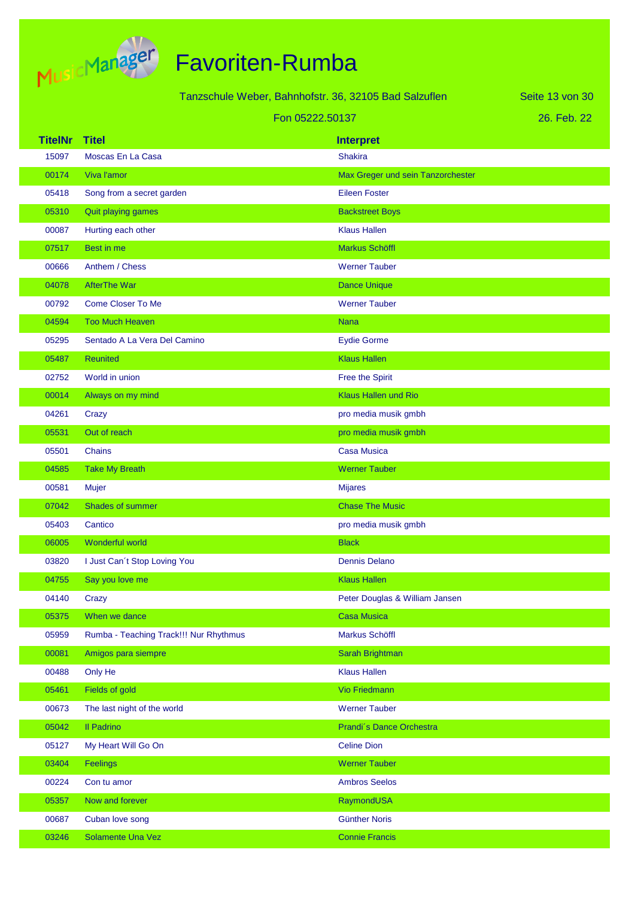

# Favoriten-Rumba

|                |                                        | Tanzschule Weber, Bahnhofstr. 36, 32105 Bad Salzuflen | Seite 13 von 30 |
|----------------|----------------------------------------|-------------------------------------------------------|-----------------|
|                | Fon 05222.50137                        |                                                       | 26. Feb. 22     |
| <b>TitelNr</b> | <b>Titel</b>                           | <b>Interpret</b>                                      |                 |
| 15097          | Moscas En La Casa                      | <b>Shakira</b>                                        |                 |
| 00174          | Viva l'amor                            | Max Greger und sein Tanzorchester                     |                 |
| 05418          | Song from a secret garden              | <b>Eileen Foster</b>                                  |                 |
| 05310          | Quit playing games                     | <b>Backstreet Boys</b>                                |                 |
| 00087          | Hurting each other                     | <b>Klaus Hallen</b>                                   |                 |
| 07517          | Best in me                             | Markus Schöffl                                        |                 |
| 00666          | Anthem / Chess                         | <b>Werner Tauber</b>                                  |                 |
| 04078          | <b>AfterThe War</b>                    | <b>Dance Unique</b>                                   |                 |
| 00792          | <b>Come Closer To Me</b>               | <b>Werner Tauber</b>                                  |                 |
| 04594          | <b>Too Much Heaven</b>                 | <b>Nana</b>                                           |                 |
| 05295          | Sentado A La Vera Del Camino           | <b>Eydie Gorme</b>                                    |                 |
| 05487          | <b>Reunited</b>                        | <b>Klaus Hallen</b>                                   |                 |
| 02752          | World in union                         | Free the Spirit                                       |                 |
| 00014          | Always on my mind                      | <b>Klaus Hallen und Rio</b>                           |                 |
| 04261          | Crazy                                  | pro media musik gmbh                                  |                 |
| 05531          | Out of reach                           | pro media musik gmbh                                  |                 |
| 05501          | <b>Chains</b>                          | <b>Casa Musica</b>                                    |                 |
| 04585          | <b>Take My Breath</b>                  | <b>Werner Tauber</b>                                  |                 |
| 00581          | Mujer                                  | <b>Mijares</b>                                        |                 |
| 07042          | Shades of summer                       | <b>Chase The Music</b>                                |                 |
| 05403          | Cantico                                | pro media musik gmbh                                  |                 |
| 06005          | Wonderful world                        | <b>Black</b>                                          |                 |
| 03820          | I Just Can't Stop Loving You           | <b>Dennis Delano</b>                                  |                 |
| 04755          | Say you love me                        | <b>Klaus Hallen</b>                                   |                 |
| 04140          | Crazy                                  | Peter Douglas & William Jansen                        |                 |
| 05375          | When we dance                          | <b>Casa Musica</b>                                    |                 |
| 05959          | Rumba - Teaching Track!!! Nur Rhythmus | Markus Schöffl                                        |                 |
| 00081          | Amigos para siempre                    | Sarah Brightman                                       |                 |
| 00488          | Only He                                | <b>Klaus Hallen</b>                                   |                 |
| 05461          | Fields of gold                         | <b>Vio Friedmann</b>                                  |                 |
| 00673          | The last night of the world            | <b>Werner Tauber</b>                                  |                 |
| 05042          | <b>Il Padrino</b>                      | Prandi's Dance Orchestra                              |                 |
| 05127          | My Heart Will Go On                    | <b>Celine Dion</b>                                    |                 |
| 03404          | Feelings                               | <b>Werner Tauber</b>                                  |                 |
| 00224          | Con tu amor                            | <b>Ambros Seelos</b>                                  |                 |
| 05357          | Now and forever                        | RaymondUSA                                            |                 |
| 00687          | Cuban love song                        | <b>Günther Noris</b>                                  |                 |

03246 Solamente Una Vez Connie Francisco Connie Francis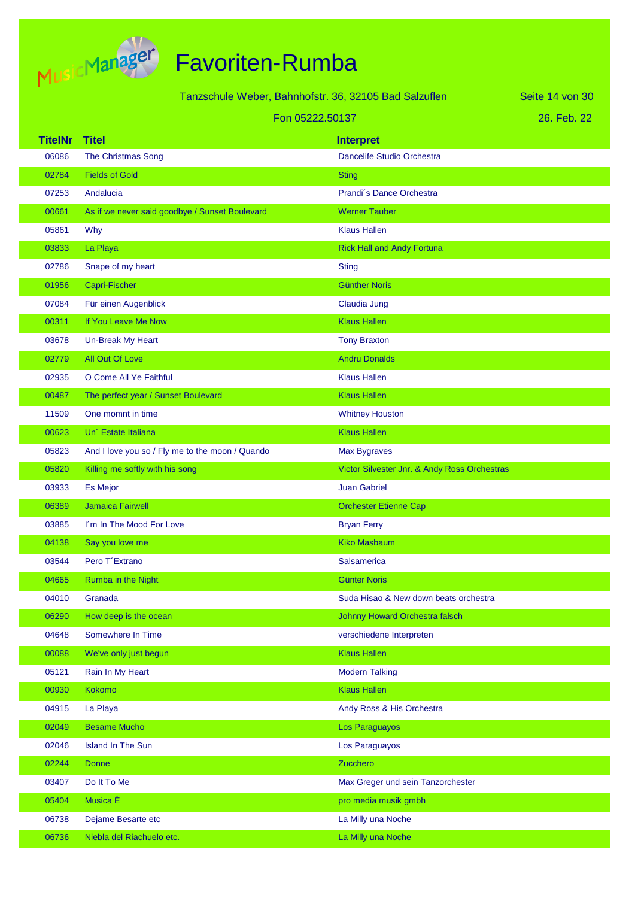

|                         |                                                 | Tanzschule Weber, Bahnhofstr. 36, 32105 Bad Salzuflen | Seite 14 von 30 |
|-------------------------|-------------------------------------------------|-------------------------------------------------------|-----------------|
|                         |                                                 | Fon 05222.50137                                       | 26. Feb. 22     |
|                         |                                                 |                                                       |                 |
| <b>TitelNr</b><br>06086 | <b>Titel</b><br><b>The Christmas Song</b>       | <b>Interpret</b><br>Dancelife Studio Orchestra        |                 |
| 02784                   | <b>Fields of Gold</b>                           | <b>Sting</b>                                          |                 |
| 07253                   | Andalucia                                       | Prandi's Dance Orchestra                              |                 |
| 00661                   | As if we never said goodbye / Sunset Boulevard  | <b>Werner Tauber</b>                                  |                 |
| 05861                   | Why                                             | <b>Klaus Hallen</b>                                   |                 |
| 03833                   | La Playa                                        | <b>Rick Hall and Andy Fortuna</b>                     |                 |
| 02786                   | Snape of my heart                               | <b>Sting</b>                                          |                 |
| 01956                   | Capri-Fischer                                   | <b>Günther Noris</b>                                  |                 |
| 07084                   | Für einen Augenblick                            | Claudia Jung                                          |                 |
| 00311                   | If You Leave Me Now                             | <b>Klaus Hallen</b>                                   |                 |
| 03678                   | Un-Break My Heart                               | <b>Tony Braxton</b>                                   |                 |
| 02779                   | All Out Of Love                                 | <b>Andru Donalds</b>                                  |                 |
| 02935                   | O Come All Ye Faithful                          | <b>Klaus Hallen</b>                                   |                 |
| 00487                   | The perfect year / Sunset Boulevard             | <b>Klaus Hallen</b>                                   |                 |
| 11509                   | One momnt in time                               | <b>Whitney Houston</b>                                |                 |
| 00623                   | Un' Estate Italiana                             | <b>Klaus Hallen</b>                                   |                 |
| 05823                   | And I love you so / Fly me to the moon / Quando | <b>Max Bygraves</b>                                   |                 |
| 05820                   | Killing me softly with his song                 | Victor Silvester Jnr. & Andy Ross Orchestras          |                 |
| 03933                   | <b>Es Mejor</b>                                 | <b>Juan Gabriel</b>                                   |                 |
| 06389                   | <b>Jamaica Fairwell</b>                         | <b>Orchester Etienne Cap</b>                          |                 |
| 03885                   | I'm In The Mood For Love                        | <b>Bryan Ferry</b>                                    |                 |
| 04138                   | Say you love me                                 | <b>Kiko Masbaum</b>                                   |                 |
| 03544                   | Pero T'Extrano                                  | Salsamerica                                           |                 |
| 04665                   | Rumba in the Night                              | <b>Günter Noris</b>                                   |                 |
| 04010                   | Granada                                         | Suda Hisao & New down beats orchestra                 |                 |
| 06290                   | How deep is the ocean                           | <b>Johnny Howard Orchestra falsch</b>                 |                 |
| 04648                   | Somewhere In Time                               | verschiedene Interpreten                              |                 |
| 00088                   | We've only just begun                           | <b>Klaus Hallen</b>                                   |                 |
| 05121                   | Rain In My Heart                                | <b>Modern Talking</b>                                 |                 |
| 00930                   | <b>Kokomo</b>                                   | <b>Klaus Hallen</b>                                   |                 |
| 04915                   | La Playa                                        | Andy Ross & His Orchestra                             |                 |
| 02049                   | <b>Besame Mucho</b>                             | Los Paraguayos                                        |                 |
| 02046                   | <b>Island In The Sun</b>                        | Los Paraguayos                                        |                 |
| 02244                   | <b>Donne</b>                                    | Zucchero                                              |                 |
| 03407                   | Do It To Me                                     | Max Greger und sein Tanzorchester                     |                 |
| 05404                   | Musica È                                        | pro media musik gmbh                                  |                 |
| 06738                   | Dejame Besarte etc                              | La Milly una Noche                                    |                 |
| 06736                   | Niebla del Riachuelo etc.                       | La Milly una Noche                                    |                 |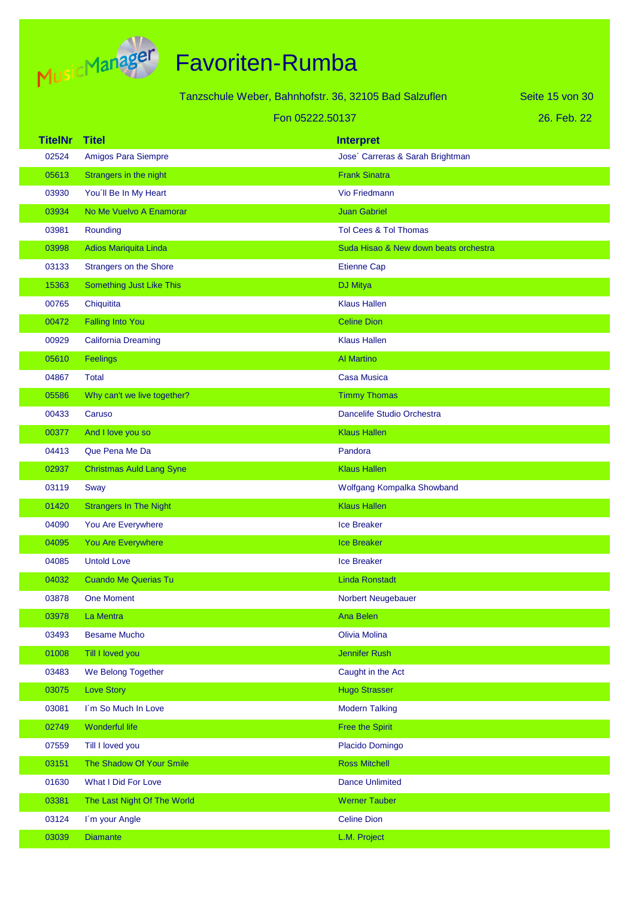

Tanzschule Weber, Bahnhofstr. 36, 32105 Bad Salzuflen

Seite 15 von 30

#### Fon 05222.50137

| 26. Feb. 22 |
|-------------|
|-------------|

| <b>TitelNr</b> | <b>Titel</b>                    | <b>Interpret</b>                      |
|----------------|---------------------------------|---------------------------------------|
| 02524          | Amigos Para Siempre             | Jose' Carreras & Sarah Brightman      |
| 05613          | Strangers in the night          | <b>Frank Sinatra</b>                  |
| 03930          | You'll Be In My Heart           | Vio Friedmann                         |
| 03934          | No Me Vuelvo A Enamorar         | <b>Juan Gabriel</b>                   |
| 03981          | Rounding                        | Tol Cees & Tol Thomas                 |
| 03998          | Adios Mariquita Linda           | Suda Hisao & New down beats orchestra |
| 03133          | <b>Strangers on the Shore</b>   | <b>Etienne Cap</b>                    |
| 15363          | Something Just Like This        | <b>DJ Mitya</b>                       |
| 00765          | Chiquitita                      | <b>Klaus Hallen</b>                   |
| 00472          | <b>Falling Into You</b>         | <b>Celine Dion</b>                    |
| 00929          | <b>California Dreaming</b>      | <b>Klaus Hallen</b>                   |
| 05610          | Feelings                        | <b>Al Martino</b>                     |
| 04867          | <b>Total</b>                    | <b>Casa Musica</b>                    |
| 05586          | Why can't we live together?     | <b>Timmy Thomas</b>                   |
| 00433          | Caruso                          | Dancelife Studio Orchestra            |
| 00377          | And I love you so               | <b>Klaus Hallen</b>                   |
| 04413          | Que Pena Me Da                  | Pandora                               |
| 02937          | <b>Christmas Auld Lang Syne</b> | <b>Klaus Hallen</b>                   |
| 03119          | Sway                            | Wolfgang Kompalka Showband            |
| 01420          | <b>Strangers In The Night</b>   | <b>Klaus Hallen</b>                   |
| 04090          | You Are Everywhere              | <b>Ice Breaker</b>                    |
| 04095          | You Are Everywhere              | <b>Ice Breaker</b>                    |
| 04085          | <b>Untold Love</b>              | <b>Ice Breaker</b>                    |
| 04032          | <b>Cuando Me Querias Tu</b>     | <b>Linda Ronstadt</b>                 |
| 03878          | <b>One Moment</b>               | Norbert Neugebauer                    |
| 03978          | La Mentra                       | Ana Belen                             |
| 03493          | <b>Besame Mucho</b>             | <b>Olivia Molina</b>                  |
| 01008          | Till I loved you                | Jennifer Rush                         |
| 03483          | We Belong Together              | Caught in the Act                     |
| 03075          | Love Story                      | <b>Hugo Strasser</b>                  |
| 03081          | I'm So Much In Love             | <b>Modern Talking</b>                 |
| 02749          | Wonderful life                  | <b>Free the Spirit</b>                |
| 07559          | Till I loved you                | Placido Domingo                       |
| 03151          | The Shadow Of Your Smile        | <b>Ross Mitchell</b>                  |
| 01630          | What I Did For Love             | <b>Dance Unlimited</b>                |
| 03381          | The Last Night Of The World     | <b>Werner Tauber</b>                  |
| 03124          | I'm your Angle                  | <b>Celine Dion</b>                    |
| 03039          | <b>Diamante</b>                 | L.M. Project                          |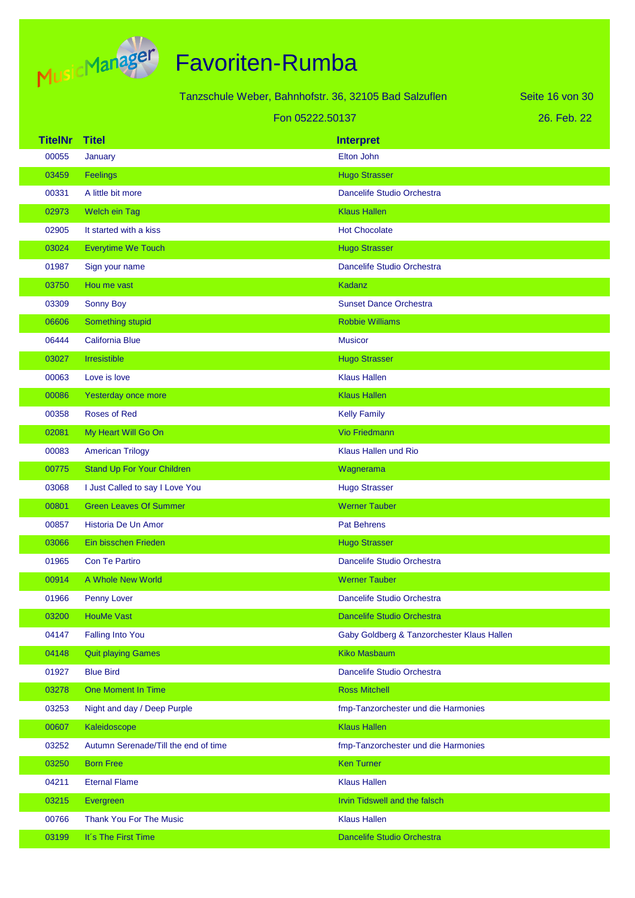

|                 |                                      | Tanzschule Weber, Bahnhofstr. 36, 32105 Bad Salzuflen | Seite 16 von 30 |
|-----------------|--------------------------------------|-------------------------------------------------------|-----------------|
| Fon 05222.50137 |                                      |                                                       | 26. Feb. 22     |
| <b>TitelNr</b>  | <b>Titel</b>                         | <b>Interpret</b>                                      |                 |
| 00055           | January                              | Elton John                                            |                 |
| 03459           | Feelings                             | <b>Hugo Strasser</b>                                  |                 |
| 00331           | A little bit more                    | Dancelife Studio Orchestra                            |                 |
| 02973           | Welch ein Tag                        | <b>Klaus Hallen</b>                                   |                 |
| 02905           | It started with a kiss               | <b>Hot Chocolate</b>                                  |                 |
| 03024           | <b>Everytime We Touch</b>            | <b>Hugo Strasser</b>                                  |                 |
| 01987           | Sign your name                       | Dancelife Studio Orchestra                            |                 |
| 03750           | Hou me vast                          | <b>Kadanz</b>                                         |                 |
| 03309           | Sonny Boy                            | <b>Sunset Dance Orchestra</b>                         |                 |
| 06606           | Something stupid                     | <b>Robbie Williams</b>                                |                 |
| 06444           | <b>California Blue</b>               | <b>Musicor</b>                                        |                 |
| 03027           | Irresistible                         | <b>Hugo Strasser</b>                                  |                 |
| 00063           | Love is love                         | <b>Klaus Hallen</b>                                   |                 |
| 00086           | Yesterday once more                  | <b>Klaus Hallen</b>                                   |                 |
| 00358           | <b>Roses of Red</b>                  | <b>Kelly Family</b>                                   |                 |
| 02081           | My Heart Will Go On                  | <b>Vio Friedmann</b>                                  |                 |
| 00083           | <b>American Trilogy</b>              | Klaus Hallen und Rio                                  |                 |
| 00775           | <b>Stand Up For Your Children</b>    | Wagnerama                                             |                 |
| 03068           | I Just Called to say I Love You      | <b>Hugo Strasser</b>                                  |                 |
| 00801           | <b>Green Leaves Of Summer</b>        | <b>Werner Tauber</b>                                  |                 |
| 00857           | Historia De Un Amor                  | <b>Pat Behrens</b>                                    |                 |
| 03066           | Ein bisschen Frieden                 | <b>Hugo Strasser</b>                                  |                 |
| 01965           | <b>Con Te Partiro</b>                | <b>Dancelife Studio Orchestra</b>                     |                 |
| 00914           | A Whole New World                    | <b>Werner Tauber</b>                                  |                 |
| 01966           | Penny Lover                          | Dancelife Studio Orchestra                            |                 |
| 03200           | <b>HouMe Vast</b>                    | <b>Dancelife Studio Orchestra</b>                     |                 |
| 04147           | <b>Falling Into You</b>              | Gaby Goldberg & Tanzorchester Klaus Hallen            |                 |
| 04148           | <b>Quit playing Games</b>            | <b>Kiko Masbaum</b>                                   |                 |
| 01927           | <b>Blue Bird</b>                     | Dancelife Studio Orchestra                            |                 |
| 03278           | One Moment In Time                   | <b>Ross Mitchell</b>                                  |                 |
| 03253           | Night and day / Deep Purple          | fmp-Tanzorchester und die Harmonies                   |                 |
| 00607           | Kaleidoscope                         | <b>Klaus Hallen</b>                                   |                 |
| 03252           | Autumn Serenade/Till the end of time | fmp-Tanzorchester und die Harmonies                   |                 |
| 03250           | <b>Born Free</b>                     | <b>Ken Turner</b>                                     |                 |
| 04211           | <b>Eternal Flame</b>                 | <b>Klaus Hallen</b>                                   |                 |
| 03215           | Evergreen                            | Irvin Tidswell and the falsch                         |                 |
| 00766           | <b>Thank You For The Music</b>       | <b>Klaus Hallen</b>                                   |                 |
| 03199           | It's The First Time                  | Dancelife Studio Orchestra                            |                 |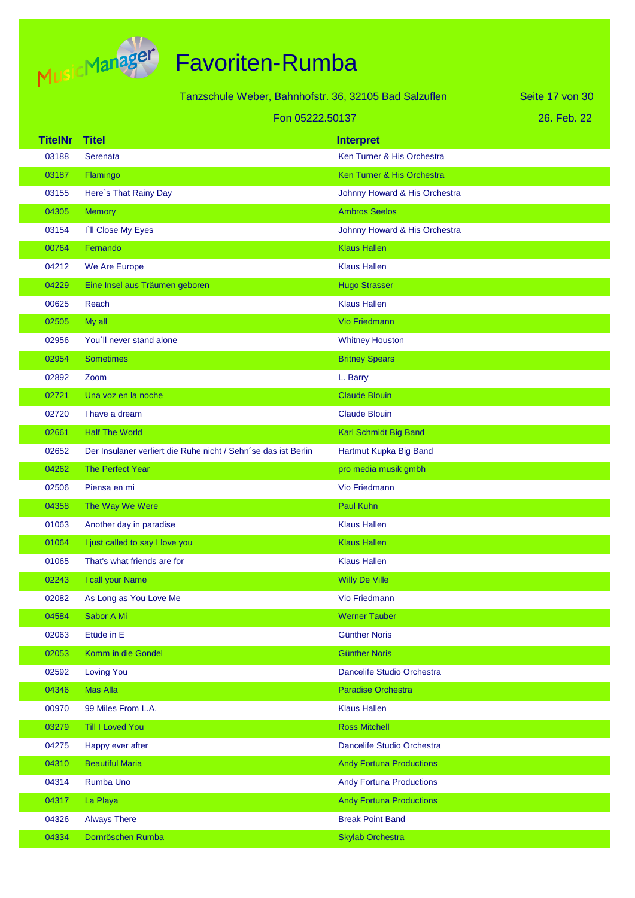

| Tanzschule Weber, Bahnhofstr. 36, 32105 Bad Salzuflen |                                                                |                                 | Seite 17 von 30 |
|-------------------------------------------------------|----------------------------------------------------------------|---------------------------------|-----------------|
|                                                       | Fon 05222.50137                                                |                                 | 26. Feb. 22     |
| <b>TitelNr</b>                                        | <b>Titel</b>                                                   | <b>Interpret</b>                |                 |
| 03188                                                 | Serenata                                                       | Ken Turner & His Orchestra      |                 |
| 03187                                                 | Flamingo                                                       | Ken Turner & His Orchestra      |                 |
| 03155                                                 | Here's That Rainy Day                                          | Johnny Howard & His Orchestra   |                 |
| 04305                                                 | <b>Memory</b>                                                  | <b>Ambros Seelos</b>            |                 |
| 03154                                                 | <b>TII Close My Eyes</b>                                       | Johnny Howard & His Orchestra   |                 |
| 00764                                                 | Fernando                                                       | <b>Klaus Hallen</b>             |                 |
| 04212                                                 | We Are Europe                                                  | <b>Klaus Hallen</b>             |                 |
| 04229                                                 | Eine Insel aus Träumen geboren                                 | <b>Hugo Strasser</b>            |                 |
| 00625                                                 | Reach                                                          | <b>Klaus Hallen</b>             |                 |
| 02505                                                 | My all                                                         | <b>Vio Friedmann</b>            |                 |
| 02956                                                 | You'll never stand alone                                       | <b>Whitney Houston</b>          |                 |
| 02954                                                 | <b>Sometimes</b>                                               | <b>Britney Spears</b>           |                 |
| 02892                                                 | Zoom                                                           | L. Barry                        |                 |
| 02721                                                 | Una voz en la noche                                            | <b>Claude Blouin</b>            |                 |
| 02720                                                 | I have a dream                                                 | <b>Claude Blouin</b>            |                 |
| 02661                                                 | <b>Half The World</b>                                          | Karl Schmidt Big Band           |                 |
| 02652                                                 | Der Insulaner verliert die Ruhe nicht / Sehn'se das ist Berlin | Hartmut Kupka Big Band          |                 |
| 04262                                                 | The Perfect Year                                               | pro media musik gmbh            |                 |
| 02506                                                 | Piensa en mi                                                   | Vio Friedmann                   |                 |
| 04358                                                 | The Way We Were                                                | Paul Kuhn                       |                 |
| 01063                                                 | Another day in paradise                                        | <b>Klaus Hallen</b>             |                 |
| 01064                                                 | I just called to say I love you                                | <b>Klaus Hallen</b>             |                 |
| 01065                                                 | That's what friends are for                                    | <b>Klaus Hallen</b>             |                 |
| 02243                                                 | I call your Name                                               | <b>Willy De Ville</b>           |                 |
| 02082                                                 | As Long as You Love Me                                         | Vio Friedmann                   |                 |
| 04584                                                 | Sabor A Mi                                                     | <b>Werner Tauber</b>            |                 |
| 02063                                                 | Etüde in E                                                     | <b>Günther Noris</b>            |                 |
| 02053                                                 | Komm in die Gondel                                             | <b>Günther Noris</b>            |                 |
| 02592                                                 | <b>Loving You</b>                                              | Dancelife Studio Orchestra      |                 |
| 04346                                                 | <b>Mas Alla</b>                                                | <b>Paradise Orchestra</b>       |                 |
| 00970                                                 | 99 Miles From L.A.                                             | <b>Klaus Hallen</b>             |                 |
| 03279                                                 | <b>Till I Loved You</b>                                        | <b>Ross Mitchell</b>            |                 |
| 04275                                                 | Happy ever after                                               | Dancelife Studio Orchestra      |                 |
| 04310                                                 | <b>Beautiful Maria</b>                                         | <b>Andy Fortuna Productions</b> |                 |
| 04314                                                 | Rumba Uno                                                      | <b>Andy Fortuna Productions</b> |                 |
| 04317                                                 | La Playa                                                       | <b>Andy Fortuna Productions</b> |                 |
| 04326                                                 | <b>Always There</b>                                            | <b>Break Point Band</b>         |                 |
| 04334                                                 | Dornröschen Rumba                                              | <b>Skylab Orchestra</b>         |                 |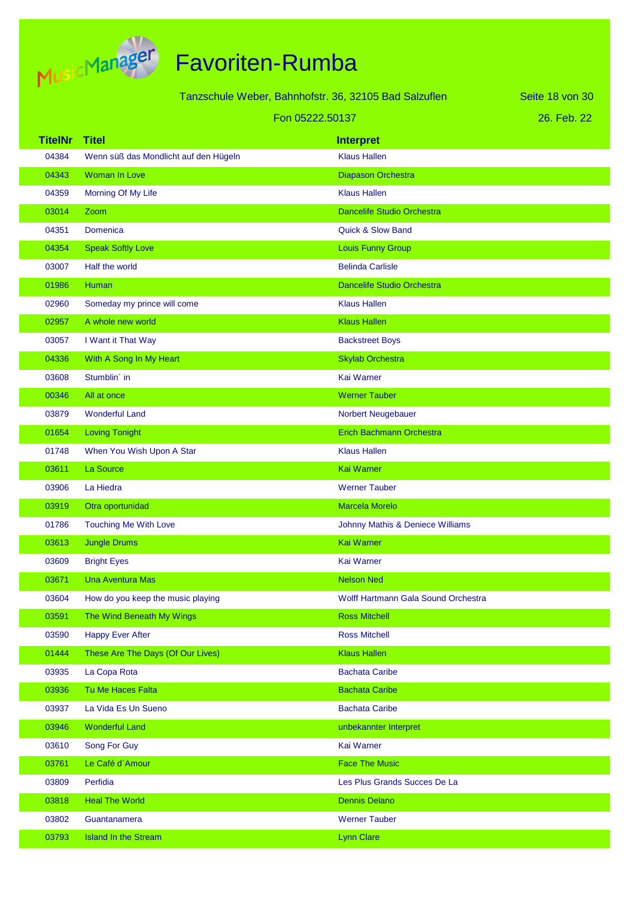

|                |                                       | Tanzschule Weber, Bahnhofstr. 36, 32105 Bad Salzuflen | Seite 18 von 30 |
|----------------|---------------------------------------|-------------------------------------------------------|-----------------|
|                |                                       |                                                       |                 |
|                |                                       | Fon 05222.50137                                       | 26. Feb. 22     |
| <b>TitelNr</b> | <b>Titel</b>                          | <b>Interpret</b>                                      |                 |
| 04384          | Wenn süß das Mondlicht auf den Hügeln | <b>Klaus Hallen</b>                                   |                 |
| 04343          | Woman In Love                         | Diapason Orchestra                                    |                 |
| 04359          | Morning Of My Life                    | <b>Klaus Hallen</b>                                   |                 |
| 03014          | Zoom                                  | <b>Dancelife Studio Orchestra</b>                     |                 |
| 04351          | Domenica                              | <b>Quick &amp; Slow Band</b>                          |                 |
| 04354          | <b>Speak Softly Love</b>              | Louis Funny Group                                     |                 |
| 03007          | Half the world                        | <b>Belinda Carlisle</b>                               |                 |
| 01986          | Human                                 | <b>Dancelife Studio Orchestra</b>                     |                 |
| 02960          | Someday my prince will come           | <b>Klaus Hallen</b>                                   |                 |
| 02957          | A whole new world                     | <b>Klaus Hallen</b>                                   |                 |
| 03057          | I Want it That Way                    | <b>Backstreet Boys</b>                                |                 |
| 04336          | With A Song In My Heart               | <b>Skylab Orchestra</b>                               |                 |
| 03608          | Stumblin' in                          | Kai Warner                                            |                 |
| 00346          | All at once                           | <b>Werner Tauber</b>                                  |                 |
| 03879          | <b>Wonderful Land</b>                 | Norbert Neugebauer                                    |                 |
| 01654          | <b>Loving Tonight</b>                 | Erich Bachmann Orchestra                              |                 |
| 01748          | When You Wish Upon A Star             | <b>Klaus Hallen</b>                                   |                 |
| 03611          | La Source                             | <b>Kai Warner</b>                                     |                 |
| 03906          | La Hiedra                             | <b>Werner Tauber</b>                                  |                 |
| 03919          | Otra oportunidad                      | <b>Marcela Morelo</b>                                 |                 |
| 01786          | <b>Touching Me With Love</b>          | Johnny Mathis & Deniece Williams                      |                 |
| 03613          | <b>Jungle Drums</b>                   | <b>Kai Warner</b>                                     |                 |
| 03609          | <b>Bright Eyes</b>                    | Kai Warner                                            |                 |
| 03671          | <b>Una Aventura Mas</b>               | <b>Nelson Ned</b>                                     |                 |
| 03604          | How do you keep the music playing     | Wolff Hartmann Gala Sound Orchestra                   |                 |
| 03591          | The Wind Beneath My Wings             | <b>Ross Mitchell</b>                                  |                 |
| 03590          | <b>Happy Ever After</b>               | <b>Ross Mitchell</b>                                  |                 |
| 01444          | These Are The Days (Of Our Lives)     | <b>Klaus Hallen</b>                                   |                 |
| 03935          | La Copa Rota                          | <b>Bachata Caribe</b>                                 |                 |
| 03936          | Tu Me Haces Falta                     | <b>Bachata Caribe</b>                                 |                 |
| 03937          | La Vida Es Un Sueno                   | <b>Bachata Caribe</b>                                 |                 |
| 03946          | <b>Wonderful Land</b>                 | unbekannter Interpret                                 |                 |
| 03610          | Song For Guy                          | Kai Warner                                            |                 |
| 03761          | Le Café d'Amour                       | <b>Face The Music</b>                                 |                 |
| 03809          | Perfidia                              | Les Plus Grands Succes De La                          |                 |
| 03818          | <b>Heal The World</b>                 | <b>Dennis Delano</b>                                  |                 |
| 03802          | Guantanamera                          | <b>Werner Tauber</b>                                  |                 |
| 03793          | <b>Island In the Stream</b>           | <b>Lynn Clare</b>                                     |                 |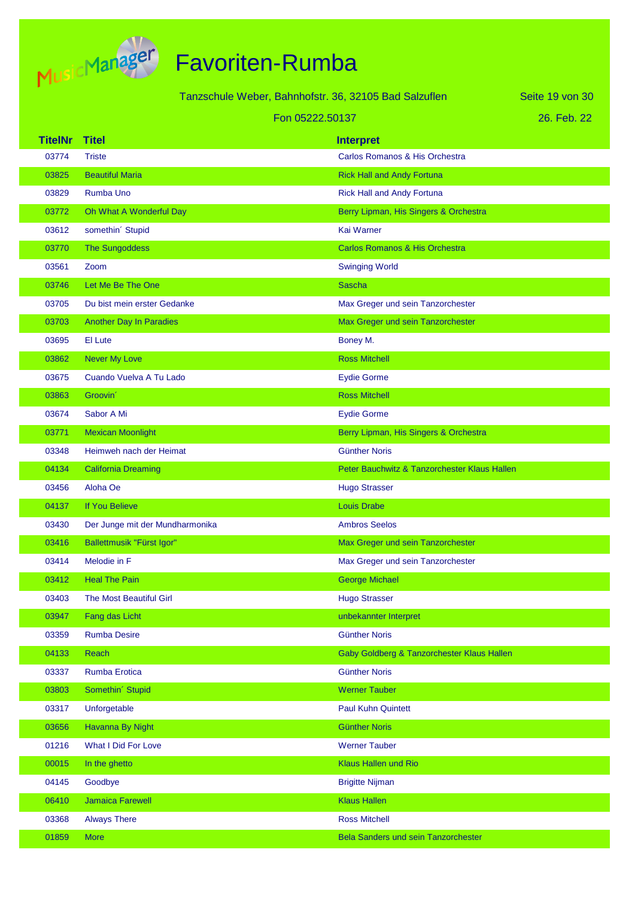

| Tanzschule Weber, Bahnhofstr. 36, 32105 Bad Salzuflen |                                 |                                              | Seite 19 von 30 |
|-------------------------------------------------------|---------------------------------|----------------------------------------------|-----------------|
| Fon 05222.50137                                       |                                 |                                              | 26. Feb. 22     |
| <b>TitelNr</b>                                        | <b>Titel</b>                    | <b>Interpret</b>                             |                 |
| 03774                                                 | <b>Triste</b>                   | Carlos Romanos & His Orchestra               |                 |
| 03825                                                 | <b>Beautiful Maria</b>          | <b>Rick Hall and Andy Fortuna</b>            |                 |
| 03829                                                 | Rumba Uno                       | <b>Rick Hall and Andy Fortuna</b>            |                 |
| 03772                                                 | Oh What A Wonderful Day         | Berry Lipman, His Singers & Orchestra        |                 |
| 03612                                                 | somethin' Stupid                | Kai Warner                                   |                 |
| 03770                                                 | <b>The Sungoddess</b>           | <b>Carlos Romanos &amp; His Orchestra</b>    |                 |
| 03561                                                 | Zoom                            | <b>Swinging World</b>                        |                 |
| 03746                                                 | Let Me Be The One               | <b>Sascha</b>                                |                 |
| 03705                                                 | Du bist mein erster Gedanke     | Max Greger und sein Tanzorchester            |                 |
| 03703                                                 | <b>Another Day In Paradies</b>  | Max Greger und sein Tanzorchester            |                 |
| 03695                                                 | El Lute                         | Boney M.                                     |                 |
| 03862                                                 | <b>Never My Love</b>            | <b>Ross Mitchell</b>                         |                 |
| 03675                                                 | Cuando Vuelva A Tu Lado         | <b>Eydie Gorme</b>                           |                 |
| 03863                                                 | Groovin'                        | <b>Ross Mitchell</b>                         |                 |
| 03674                                                 | Sabor A Mi                      | <b>Eydie Gorme</b>                           |                 |
| 03771                                                 | <b>Mexican Moonlight</b>        | Berry Lipman, His Singers & Orchestra        |                 |
| 03348                                                 | Heimweh nach der Heimat         | <b>Günther Noris</b>                         |                 |
| 04134                                                 | <b>California Dreaming</b>      | Peter Bauchwitz & Tanzorchester Klaus Hallen |                 |
| 03456                                                 | Aloha Oe                        | <b>Hugo Strasser</b>                         |                 |
| 04137                                                 | If You Believe                  | <b>Louis Drabe</b>                           |                 |
| 03430                                                 | Der Junge mit der Mundharmonika | <b>Ambros Seelos</b>                         |                 |
| 03416                                                 | Ballettmusik "Fürst Igor"       | Max Greger und sein Tanzorchester            |                 |
| 03414                                                 | Melodie in F                    | Max Greger und sein Tanzorchester            |                 |
| 03412                                                 | <b>Heal The Pain</b>            | <b>George Michael</b>                        |                 |
| 03403                                                 | The Most Beautiful Girl         | <b>Hugo Strasser</b>                         |                 |
| 03947                                                 | Fang das Licht                  | unbekannter Interpret                        |                 |
| 03359                                                 | <b>Rumba Desire</b>             | <b>Günther Noris</b>                         |                 |
| 04133                                                 | <b>Reach</b>                    | Gaby Goldberg & Tanzorchester Klaus Hallen   |                 |
| 03337                                                 | Rumba Erotica                   | <b>Günther Noris</b>                         |                 |
| 03803                                                 | Somethin' Stupid                | <b>Werner Tauber</b>                         |                 |
| 03317                                                 | Unforgetable                    | Paul Kuhn Quintett                           |                 |
| 03656                                                 | Havanna By Night                | <b>Günther Noris</b>                         |                 |
| 01216                                                 | What I Did For Love             | <b>Werner Tauber</b>                         |                 |
| 00015                                                 | In the ghetto                   | Klaus Hallen und Rio                         |                 |
| 04145                                                 | Goodbye                         | <b>Brigitte Nijman</b>                       |                 |
| 06410                                                 | <b>Jamaica Farewell</b>         | <b>Klaus Hallen</b>                          |                 |
| 03368                                                 | <b>Always There</b>             | <b>Ross Mitchell</b>                         |                 |
| 01859                                                 | More                            | Bela Sanders und sein Tanzorchester          |                 |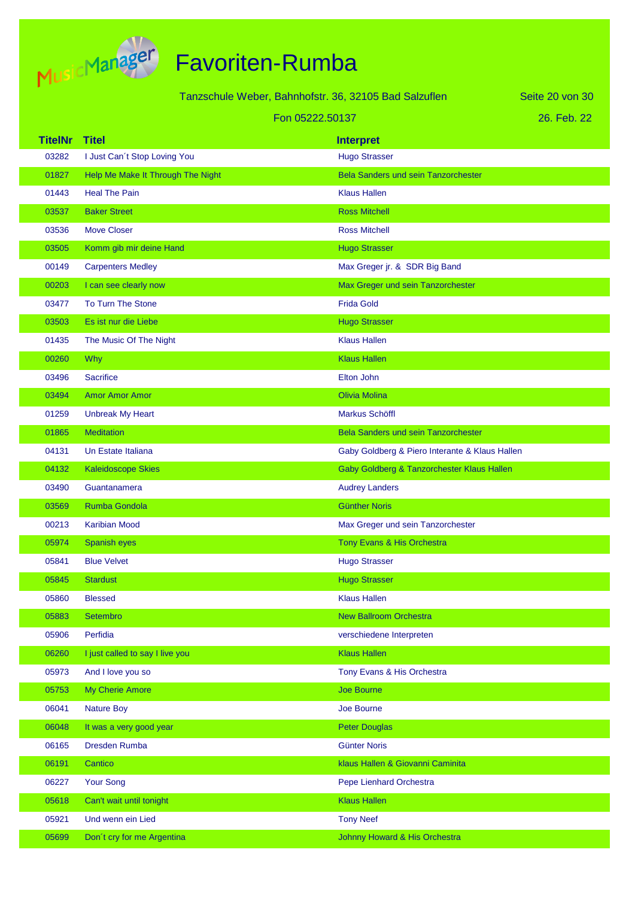

Tanzschule Weber, Bahnhofstr. 36, 32105 Bad Salzuflen

Seite 20 von 30

|                | Fon 05222.50137                   |                                                | 26. Feb. 22 |
|----------------|-----------------------------------|------------------------------------------------|-------------|
| <b>TitelNr</b> | <b>Titel</b>                      | <b>Interpret</b>                               |             |
| 03282          | I Just Can't Stop Loving You      | <b>Hugo Strasser</b>                           |             |
| 01827          | Help Me Make It Through The Night | <b>Bela Sanders und sein Tanzorchester</b>     |             |
| 01443          | <b>Heal The Pain</b>              | <b>Klaus Hallen</b>                            |             |
| 03537          | <b>Baker Street</b>               | <b>Ross Mitchell</b>                           |             |
| 03536          | <b>Move Closer</b>                | <b>Ross Mitchell</b>                           |             |
| 03505          | Komm gib mir deine Hand           | <b>Hugo Strasser</b>                           |             |
| 00149          | <b>Carpenters Medley</b>          | Max Greger jr. & SDR Big Band                  |             |
| 00203          | I can see clearly now             | Max Greger und sein Tanzorchester              |             |
| 03477          | <b>To Turn The Stone</b>          | <b>Frida Gold</b>                              |             |
| 03503          | Es ist nur die Liebe              | <b>Hugo Strasser</b>                           |             |
| 01435          | The Music Of The Night            | <b>Klaus Hallen</b>                            |             |
| 00260          | <b>Why</b>                        | <b>Klaus Hallen</b>                            |             |
| 03496          | <b>Sacrifice</b>                  | Elton John                                     |             |
| 03494          | <b>Amor Amor Amor</b>             | <b>Olivia Molina</b>                           |             |
| 01259          | <b>Unbreak My Heart</b>           | Markus Schöffl                                 |             |
| 01865          | <b>Meditation</b>                 | <b>Bela Sanders und sein Tanzorchester</b>     |             |
| 04131          | Un Estate Italiana                | Gaby Goldberg & Piero Interante & Klaus Hallen |             |
| 04132          | <b>Kaleidoscope Skies</b>         | Gaby Goldberg & Tanzorchester Klaus Hallen     |             |
| 03490          | Guantanamera                      | <b>Audrey Landers</b>                          |             |
| 03569          | <b>Rumba Gondola</b>              | <b>Günther Noris</b>                           |             |
| 00213          | <b>Karibian Mood</b>              | Max Greger und sein Tanzorchester              |             |
| 05974          | Spanish eyes                      | Tony Evans & His Orchestra                     |             |
| 05841          | <b>Blue Velvet</b>                | <b>Hugo Strasser</b>                           |             |
| 05845          | <b>Stardust</b>                   | <b>Hugo Strasser</b>                           |             |
| 05860          | <b>Blessed</b>                    | <b>Klaus Hallen</b>                            |             |
| 05883          | Setembro                          | <b>New Ballroom Orchestra</b>                  |             |
| 05906          | Perfidia                          | verschiedene Interpreten                       |             |
| 06260          | I just called to say I live you   | <b>Klaus Hallen</b>                            |             |
| 05973          | And I love you so                 | Tony Evans & His Orchestra                     |             |
| 05753          | <b>My Cherie Amore</b>            | <b>Joe Bourne</b>                              |             |
| 06041          | <b>Nature Boy</b>                 | Joe Bourne                                     |             |
| 06048          | It was a very good year           | <b>Peter Douglas</b>                           |             |
| 06165          | Dresden Rumba                     | <b>Günter Noris</b>                            |             |
| 06191          | Cantico                           | klaus Hallen & Giovanni Caminita               |             |
| 06227          | <b>Your Song</b>                  | Pepe Lienhard Orchestra                        |             |
| 05618          | Can't wait until tonight          | <b>Klaus Hallen</b>                            |             |
| 05921          | Und wenn ein Lied                 | <b>Tony Neef</b>                               |             |
| 05699          | Don't cry for me Argentina        | Johnny Howard & His Orchestra                  |             |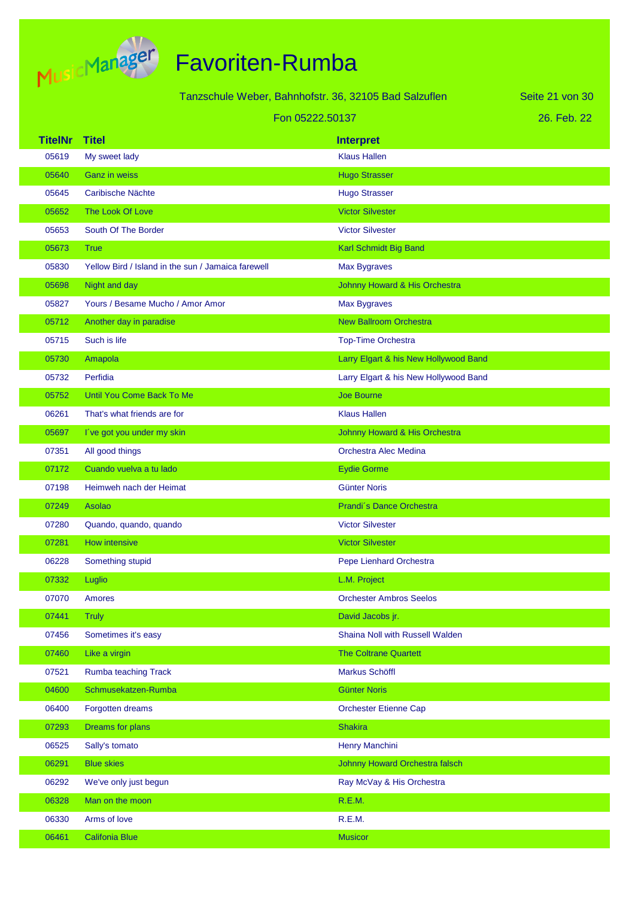

| Tanzschule Weber, Bahnhofstr. 36, 32105 Bad Salzuflen |                                                    |                                       | Seite 21 von 30 |
|-------------------------------------------------------|----------------------------------------------------|---------------------------------------|-----------------|
| Fon 05222.50137                                       |                                                    | 26. Feb. 22                           |                 |
| <b>TitelNr</b>                                        | <b>Titel</b>                                       | <b>Interpret</b>                      |                 |
| 05619                                                 | My sweet lady                                      | <b>Klaus Hallen</b>                   |                 |
| 05640                                                 | <b>Ganz</b> in weiss                               | <b>Hugo Strasser</b>                  |                 |
| 05645                                                 | Caribische Nächte                                  | <b>Hugo Strasser</b>                  |                 |
| 05652                                                 | The Look Of Love                                   | <b>Victor Silvester</b>               |                 |
| 05653                                                 | South Of The Border                                | <b>Victor Silvester</b>               |                 |
| 05673                                                 | <b>True</b>                                        | Karl Schmidt Big Band                 |                 |
| 05830                                                 | Yellow Bird / Island in the sun / Jamaica farewell | Max Bygraves                          |                 |
| 05698                                                 | Night and day                                      | Johnny Howard & His Orchestra         |                 |
| 05827                                                 | Yours / Besame Mucho / Amor Amor                   | Max Bygraves                          |                 |
| 05712                                                 | Another day in paradise                            | <b>New Ballroom Orchestra</b>         |                 |
| 05715                                                 | Such is life                                       | <b>Top-Time Orchestra</b>             |                 |
| 05730                                                 | Amapola                                            | Larry Elgart & his New Hollywood Band |                 |
| 05732                                                 | Perfidia                                           | Larry Elgart & his New Hollywood Band |                 |
| 05752                                                 | Until You Come Back To Me                          | <b>Joe Bourne</b>                     |                 |
| 06261                                                 | That's what friends are for                        | <b>Klaus Hallen</b>                   |                 |
| 05697                                                 | I've got you under my skin                         | Johnny Howard & His Orchestra         |                 |
| 07351                                                 | All good things                                    | <b>Orchestra Alec Medina</b>          |                 |
| 07172                                                 | Cuando vuelva a tu lado                            | <b>Eydie Gorme</b>                    |                 |
| 07198                                                 | Heimweh nach der Heimat                            | Günter Noris                          |                 |
| 07249                                                 | Asolao                                             | Prandi's Dance Orchestra              |                 |
| 07280                                                 | Quando, quando, quando                             | <b>Victor Silvester</b>               |                 |
| 07281                                                 | How intensive                                      | <b>Victor Silvester</b>               |                 |
| 06228                                                 | Something stupid                                   | Pepe Lienhard Orchestra               |                 |
| 07332                                                 | Luglio                                             | L.M. Project                          |                 |
| 07070                                                 | <b>Amores</b>                                      | <b>Orchester Ambros Seelos</b>        |                 |
| 07441                                                 | <b>Truly</b>                                       | David Jacobs jr.                      |                 |
| 07456                                                 | Sometimes it's easy                                | Shaina Noll with Russell Walden       |                 |
| 07460                                                 | Like a virgin                                      | <b>The Coltrane Quartett</b>          |                 |
| 07521                                                 | Rumba teaching Track                               | Markus Schöffl                        |                 |
| 04600                                                 | Schmusekatzen-Rumba                                | <b>Günter Noris</b>                   |                 |
| 06400                                                 | Forgotten dreams                                   | <b>Orchester Etienne Cap</b>          |                 |
| 07293                                                 | Dreams for plans                                   | <b>Shakira</b>                        |                 |
| 06525                                                 | Sally's tomato                                     | Henry Manchini                        |                 |
| 06291                                                 | <b>Blue skies</b>                                  | Johnny Howard Orchestra falsch        |                 |
| 06292                                                 | We've only just begun                              | Ray McVay & His Orchestra             |                 |
| 06328                                                 | Man on the moon                                    | R.E.M.                                |                 |
| 06330                                                 | Arms of love                                       | R.E.M.                                |                 |
| 06461                                                 | <b>Califonia Blue</b>                              | <b>Musicor</b>                        |                 |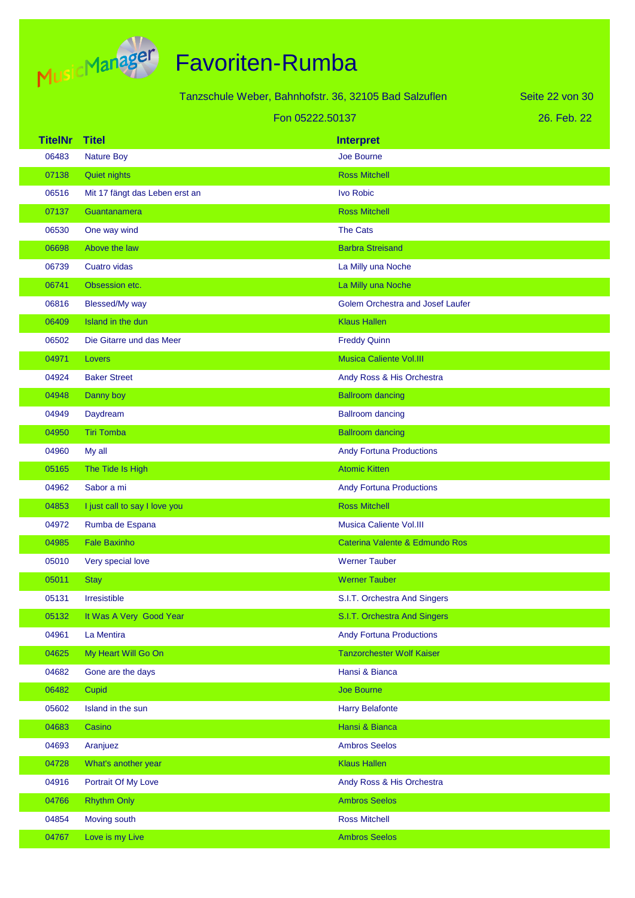

| Tanzschule Weber, Bahnhofstr. 36, 32105 Bad Salzuflen |                                | Seite 22 von 30                         |             |
|-------------------------------------------------------|--------------------------------|-----------------------------------------|-------------|
|                                                       |                                | Fon 05222.50137                         | 26. Feb. 22 |
| <b>TitelNr</b>                                        | <b>Titel</b>                   | <b>Interpret</b>                        |             |
| 06483                                                 | <b>Nature Boy</b>              | Joe Bourne                              |             |
| 07138                                                 | <b>Quiet nights</b>            | <b>Ross Mitchell</b>                    |             |
| 06516                                                 | Mit 17 fängt das Leben erst an | Ivo Robic                               |             |
| 07137                                                 | Guantanamera                   | <b>Ross Mitchell</b>                    |             |
| 06530                                                 | One way wind                   | <b>The Cats</b>                         |             |
| 06698                                                 | Above the law                  | <b>Barbra Streisand</b>                 |             |
| 06739                                                 | <b>Cuatro vidas</b>            | La Milly una Noche                      |             |
| 06741                                                 | Obsession etc.                 | La Milly una Noche                      |             |
| 06816                                                 | Blessed/My way                 | <b>Golem Orchestra and Josef Laufer</b> |             |
| 06409                                                 | Island in the dun              | <b>Klaus Hallen</b>                     |             |
| 06502                                                 | Die Gitarre und das Meer       | <b>Freddy Quinn</b>                     |             |
| 04971                                                 | Lovers                         | <b>Musica Caliente Vol.III</b>          |             |
| 04924                                                 | <b>Baker Street</b>            | Andy Ross & His Orchestra               |             |
| 04948                                                 | Danny boy                      | <b>Ballroom dancing</b>                 |             |
| 04949                                                 | Daydream                       | <b>Ballroom dancing</b>                 |             |
| 04950                                                 | <b>Tiri Tomba</b>              | <b>Ballroom dancing</b>                 |             |
| 04960                                                 | My all                         | <b>Andy Fortuna Productions</b>         |             |
| 05165                                                 | The Tide Is High               | <b>Atomic Kitten</b>                    |             |
| 04962                                                 | Sabor a mi                     | <b>Andy Fortuna Productions</b>         |             |
| 04853                                                 | I just call to say I love you  | <b>Ross Mitchell</b>                    |             |
| 04972                                                 | Rumba de Espana                | <b>Musica Caliente Vol.III</b>          |             |
| 04985                                                 | <b>Fale Baxinho</b>            | Caterina Valente & Edmundo Ros          |             |
| 05010                                                 | Very special love              | <b>Werner Tauber</b>                    |             |
| 05011                                                 | <b>Stay</b>                    | <b>Werner Tauber</b>                    |             |
| 05131                                                 | Irresistible                   | S.I.T. Orchestra And Singers            |             |
| 05132                                                 | It Was A Very Good Year        | S.I.T. Orchestra And Singers            |             |
| 04961                                                 | La Mentira                     | <b>Andy Fortuna Productions</b>         |             |
| 04625                                                 | My Heart Will Go On            | <b>Tanzorchester Wolf Kaiser</b>        |             |
| 04682                                                 | Gone are the days              | Hansi & Bianca                          |             |
| 06482                                                 | Cupid                          | Joe Bourne                              |             |
| 05602                                                 | Island in the sun              | <b>Harry Belafonte</b>                  |             |
| 04683                                                 | Casino                         | Hansi & Bianca                          |             |
| 04693                                                 | Aranjuez                       | <b>Ambros Seelos</b>                    |             |
| 04728                                                 | What's another year            | <b>Klaus Hallen</b>                     |             |
| 04916                                                 | Portrait Of My Love            | Andy Ross & His Orchestra               |             |
| 04766                                                 | <b>Rhythm Only</b>             | <b>Ambros Seelos</b>                    |             |
| 04854                                                 | Moving south                   | <b>Ross Mitchell</b>                    |             |
| 04767                                                 | Love is my Live                | <b>Ambros Seelos</b>                    |             |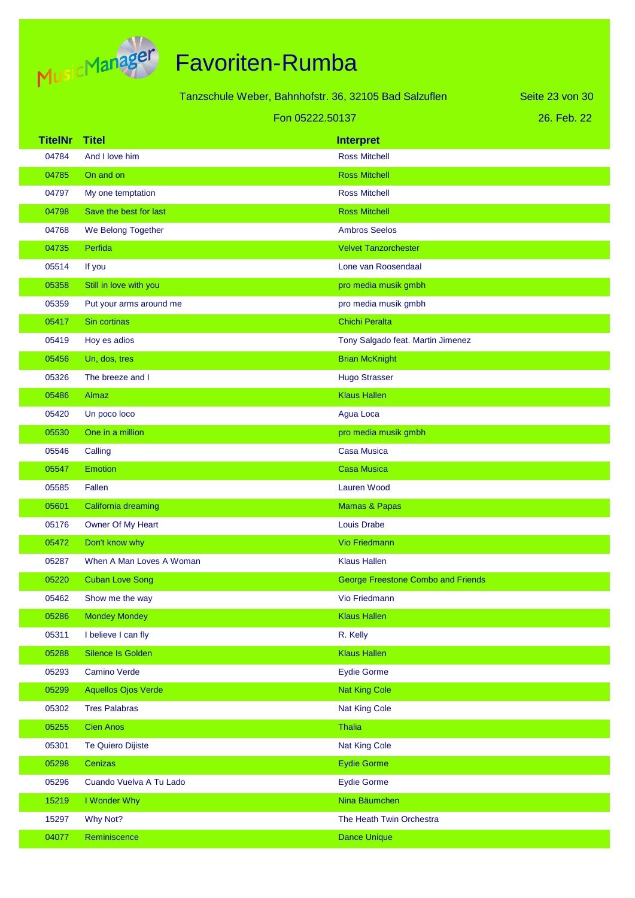

|                |                            | Tanzschule Weber, Bahnhofstr. 36, 32105 Bad Salzuflen | Seite 23 von 30 |
|----------------|----------------------------|-------------------------------------------------------|-----------------|
|                |                            | Fon 05222.50137                                       | 26. Feb. 22     |
| <b>TitelNr</b> | <b>Titel</b>               | <b>Interpret</b>                                      |                 |
| 04784          | And I love him             | <b>Ross Mitchell</b>                                  |                 |
| 04785          | On and on                  | <b>Ross Mitchell</b>                                  |                 |
| 04797          | My one temptation          | <b>Ross Mitchell</b>                                  |                 |
| 04798          | Save the best for last     | <b>Ross Mitchell</b>                                  |                 |
| 04768          | We Belong Together         | <b>Ambros Seelos</b>                                  |                 |
| 04735          | Perfida                    | <b>Velvet Tanzorchester</b>                           |                 |
| 05514          | If you                     | Lone van Roosendaal                                   |                 |
| 05358          | Still in love with you     | pro media musik gmbh                                  |                 |
| 05359          | Put your arms around me    | pro media musik gmbh                                  |                 |
| 05417          | Sin cortinas               | Chichi Peralta                                        |                 |
| 05419          | Hoy es adios               | Tony Salgado feat. Martin Jimenez                     |                 |
| 05456          | Un, dos, tres              | <b>Brian McKnight</b>                                 |                 |
| 05326          | The breeze and I           | <b>Hugo Strasser</b>                                  |                 |
| 05486          | Almaz                      | <b>Klaus Hallen</b>                                   |                 |
| 05420          | Un poco loco               | Agua Loca                                             |                 |
| 05530          | One in a million           | pro media musik gmbh                                  |                 |
| 05546          | Calling                    | <b>Casa Musica</b>                                    |                 |
| 05547          | <b>Emotion</b>             | <b>Casa Musica</b>                                    |                 |
| 05585          | Fallen                     | <b>Lauren Wood</b>                                    |                 |
| 05601          | California dreaming        | <b>Mamas &amp; Papas</b>                              |                 |
| 05176          | Owner Of My Heart          | <b>Louis Drabe</b>                                    |                 |
| 05472          | Don't know why             | <b>Vio Friedmann</b>                                  |                 |
| 05287          | When A Man Loves A Woman   | <b>Klaus Hallen</b>                                   |                 |
| 05220          | <b>Cuban Love Song</b>     | <b>George Freestone Combo and Friends</b>             |                 |
| 05462          | Show me the way            | Vio Friedmann                                         |                 |
| 05286          | <b>Mondey Mondey</b>       | <b>Klaus Hallen</b>                                   |                 |
| 05311          | I believe I can fly        | R. Kelly                                              |                 |
| 05288          | <b>Silence Is Golden</b>   | <b>Klaus Hallen</b>                                   |                 |
| 05293          | <b>Camino Verde</b>        | <b>Eydie Gorme</b>                                    |                 |
| 05299          | <b>Aquellos Ojos Verde</b> | <b>Nat King Cole</b>                                  |                 |
| 05302          | <b>Tres Palabras</b>       | <b>Nat King Cole</b>                                  |                 |
| 05255          | <b>Cien Anos</b>           | Thalia                                                |                 |
| 05301          | <b>Te Quiero Dijiste</b>   | <b>Nat King Cole</b>                                  |                 |
| 05298          | Cenizas                    | <b>Eydie Gorme</b>                                    |                 |
| 05296          | Cuando Vuelva A Tu Lado    | <b>Eydie Gorme</b>                                    |                 |
| 15219          | I Wonder Why               | Nina Bäumchen                                         |                 |
| 15297          | Why Not?                   | The Heath Twin Orchestra                              |                 |
| 04077          | Reminiscence               | <b>Dance Unique</b>                                   |                 |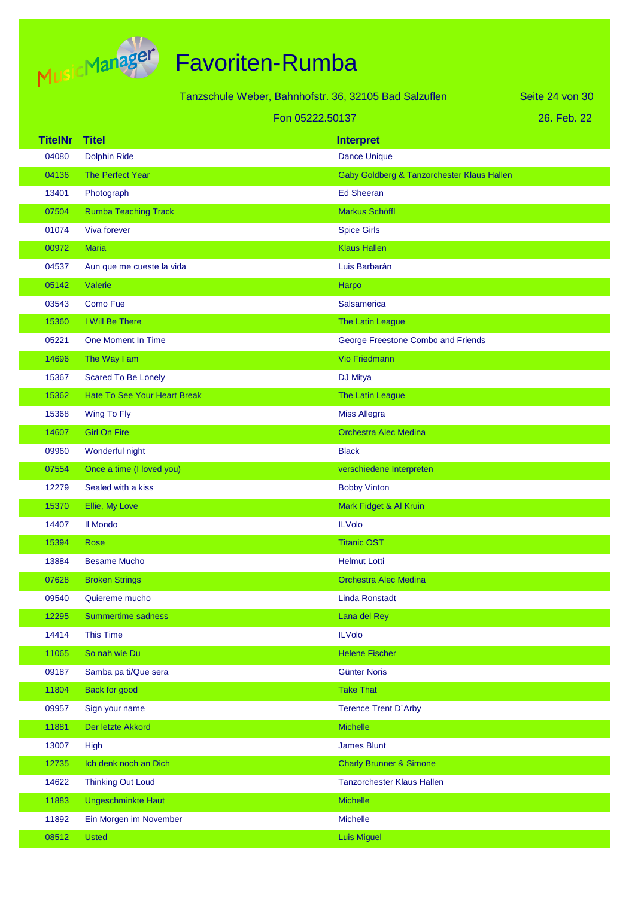

|                | Tanzschule Weber, Bahnhofstr. 36, 32105 Bad Salzuflen |                                            | Seite 24 von 30 |
|----------------|-------------------------------------------------------|--------------------------------------------|-----------------|
|                | Fon 05222.50137                                       |                                            | 26. Feb. 22     |
| <b>TitelNr</b> | <b>Titel</b>                                          | <b>Interpret</b>                           |                 |
| 04080          | <b>Dolphin Ride</b>                                   | <b>Dance Unique</b>                        |                 |
| 04136          | The Perfect Year                                      | Gaby Goldberg & Tanzorchester Klaus Hallen |                 |
| 13401          | Photograph                                            | <b>Ed Sheeran</b>                          |                 |
| 07504          | <b>Rumba Teaching Track</b>                           | <b>Markus Schöffl</b>                      |                 |
| 01074          | Viva forever                                          | <b>Spice Girls</b>                         |                 |
| 00972          | <b>Maria</b>                                          | <b>Klaus Hallen</b>                        |                 |
| 04537          | Aun que me cueste la vida                             | Luis Barbarán                              |                 |
| 05142          | Valerie                                               | Harpo                                      |                 |
| 03543          | <b>Como Fue</b>                                       | Salsamerica                                |                 |
| 15360          | I Will Be There                                       | The Latin League                           |                 |
| 05221          | <b>One Moment In Time</b>                             | George Freestone Combo and Friends         |                 |
| 14696          | The Way I am                                          | <b>Vio Friedmann</b>                       |                 |
| 15367          | <b>Scared To Be Lonely</b>                            | DJ Mitya                                   |                 |
| 15362          | <b>Hate To See Your Heart Break</b>                   | <b>The Latin League</b>                    |                 |
| 15368          | Wing To Fly                                           | <b>Miss Allegra</b>                        |                 |
| 14607          | <b>Girl On Fire</b>                                   | <b>Orchestra Alec Medina</b>               |                 |
| 09960          | Wonderful night                                       | <b>Black</b>                               |                 |
| 07554          | Once a time (I loved you)                             | verschiedene Interpreten                   |                 |
| 12279          | Sealed with a kiss                                    | <b>Bobby Vinton</b>                        |                 |
| 15370          | Ellie, My Love                                        | Mark Fidget & Al Kruin                     |                 |
| 14407          | <b>II Mondo</b>                                       | <b>ILVolo</b>                              |                 |
| 15394          | <b>Rose</b>                                           | <b>Titanic OST</b>                         |                 |
| 13884          | <b>Besame Mucho</b>                                   | <b>Helmut Lotti</b>                        |                 |
| 07628          | <b>Broken Strings</b>                                 | <b>Orchestra Alec Medina</b>               |                 |
| 09540          | Quiereme mucho                                        | <b>Linda Ronstadt</b>                      |                 |
| 12295          | Summertime sadness                                    | Lana del Rey                               |                 |
| 14414          | <b>This Time</b>                                      | <b>ILVolo</b>                              |                 |
| 11065          | So nah wie Du                                         | <b>Helene Fischer</b>                      |                 |
| 09187          | Samba pa ti/Que sera                                  | <b>Günter Noris</b>                        |                 |
| 11804          | <b>Back for good</b>                                  | <b>Take That</b>                           |                 |
| 09957          | Sign your name                                        | <b>Terence Trent D'Arby</b>                |                 |
| 11881          | Der letzte Akkord                                     | Michelle                                   |                 |
| 13007          | High                                                  | <b>James Blunt</b>                         |                 |
| 12735          | Ich denk noch an Dich                                 | <b>Charly Brunner &amp; Simone</b>         |                 |
| 14622          | <b>Thinking Out Loud</b>                              | <b>Tanzorchester Klaus Hallen</b>          |                 |
| 11883          | <b>Ungeschminkte Haut</b>                             | <b>Michelle</b>                            |                 |
| 11892          | Ein Morgen im November                                | Michelle                                   |                 |
| 08512          | <b>Usted</b>                                          | <b>Luis Miguel</b>                         |                 |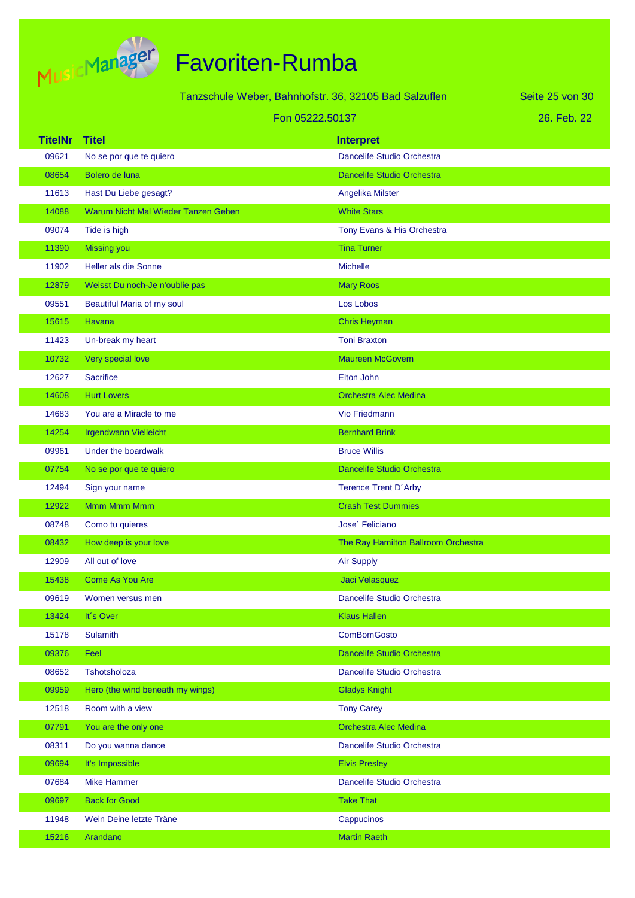

|                |                                     | Tanzschule Weber, Bahnhofstr. 36, 32105 Bad Salzuflen | Seite 25 von 30 |
|----------------|-------------------------------------|-------------------------------------------------------|-----------------|
|                |                                     | Fon 05222.50137                                       | 26. Feb. 22     |
| <b>TitelNr</b> | <b>Titel</b>                        | <b>Interpret</b>                                      |                 |
| 09621          | No se por que te quiero             | Dancelife Studio Orchestra                            |                 |
| 08654          | Bolero de luna                      | <b>Dancelife Studio Orchestra</b>                     |                 |
| 11613          | Hast Du Liebe gesagt?               | Angelika Milster                                      |                 |
| 14088          | Warum Nicht Mal Wieder Tanzen Gehen | <b>White Stars</b>                                    |                 |
| 09074          | Tide is high                        | Tony Evans & His Orchestra                            |                 |
| 11390          | <b>Missing you</b>                  | <b>Tina Turner</b>                                    |                 |
| 11902          | Heller als die Sonne                | <b>Michelle</b>                                       |                 |
| 12879          | Weisst Du noch-Je n'oublie pas      | <b>Mary Roos</b>                                      |                 |
| 09551          | Beautiful Maria of my soul          | Los Lobos                                             |                 |
| 15615          | Havana                              | <b>Chris Heyman</b>                                   |                 |
| 11423          | Un-break my heart                   | <b>Toni Braxton</b>                                   |                 |
| 10732          | Very special love                   | <b>Maureen McGovern</b>                               |                 |
| 12627          | <b>Sacrifice</b>                    | Elton John                                            |                 |
| 14608          | <b>Hurt Lovers</b>                  | <b>Orchestra Alec Medina</b>                          |                 |
| 14683          | You are a Miracle to me             | Vio Friedmann                                         |                 |
| 14254          | <b>Irgendwann Vielleicht</b>        | <b>Bernhard Brink</b>                                 |                 |
| 09961          | Under the boardwalk                 | <b>Bruce Willis</b>                                   |                 |
| 07754          | No se por que te quiero             | <b>Dancelife Studio Orchestra</b>                     |                 |
| 12494          | Sign your name                      | <b>Terence Trent D'Arby</b>                           |                 |
| 12922          | <b>Mmm Mmm Mmm</b>                  | <b>Crash Test Dummies</b>                             |                 |
| 08748          | Como tu quieres                     | Jose <sup>'</sup> Feliciano                           |                 |
| 08432          | How deep is your love               | The Ray Hamilton Ballroom Orchestra                   |                 |
| 12909          | All out of love                     | <b>Air Supply</b>                                     |                 |
| 15438          | <b>Come As You Are</b>              | Jaci Velasquez                                        |                 |
| 09619          | Women versus men                    | Dancelife Studio Orchestra                            |                 |
| 13424          | It's Over                           | <b>Klaus Hallen</b>                                   |                 |
| 15178          | <b>Sulamith</b>                     | <b>ComBomGosto</b>                                    |                 |
| 09376          | Feel                                | Dancelife Studio Orchestra                            |                 |
| 08652          | Tshotsholoza                        | Dancelife Studio Orchestra                            |                 |
| 09959          | Hero (the wind beneath my wings)    | <b>Gladys Knight</b>                                  |                 |
| 12518          | Room with a view                    | <b>Tony Carey</b>                                     |                 |
| 07791          | You are the only one                | <b>Orchestra Alec Medina</b>                          |                 |
| 08311          | Do you wanna dance                  | Dancelife Studio Orchestra                            |                 |
| 09694          | It's Impossible                     | <b>Elvis Presley</b>                                  |                 |
| 07684          | <b>Mike Hammer</b>                  | Dancelife Studio Orchestra                            |                 |
| 09697          | <b>Back for Good</b>                | <b>Take That</b>                                      |                 |
| 11948          | Wein Deine letzte Träne             | Cappucinos                                            |                 |
| 15216          | Arandano                            | <b>Martin Raeth</b>                                   |                 |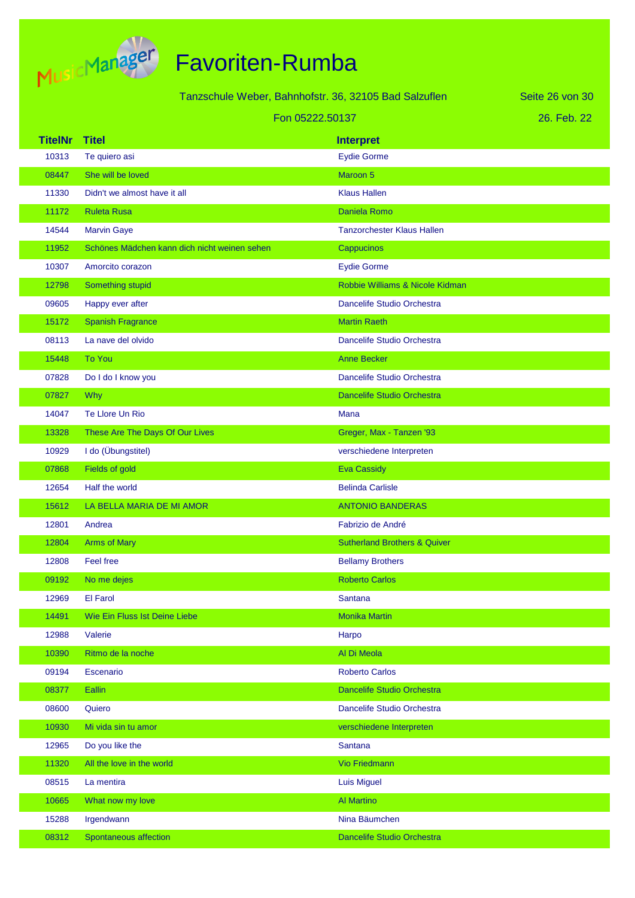

|                | Tanzschule Weber, Bahnhofstr. 36, 32105 Bad Salzuflen |                                         | Seite 26 von 30 |
|----------------|-------------------------------------------------------|-----------------------------------------|-----------------|
|                | Fon 05222,50137                                       |                                         | 26. Feb. 22     |
| <b>TitelNr</b> | <b>Titel</b>                                          | <b>Interpret</b>                        |                 |
| 10313          | Te quiero asi                                         | <b>Eydie Gorme</b>                      |                 |
| 08447          | She will be loved                                     | Maroon 5                                |                 |
| 11330          | Didn't we almost have it all                          | <b>Klaus Hallen</b>                     |                 |
| 11172          | <b>Ruleta Rusa</b>                                    | Daniela Romo                            |                 |
| 14544          | <b>Marvin Gaye</b>                                    | <b>Tanzorchester Klaus Hallen</b>       |                 |
| 11952          | Schönes Mädchen kann dich nicht weinen sehen          | Cappucinos                              |                 |
| 10307          | Amorcito corazon                                      | <b>Eydie Gorme</b>                      |                 |
| 12798          | Something stupid                                      | Robbie Williams & Nicole Kidman         |                 |
| 09605          | Happy ever after                                      | Dancelife Studio Orchestra              |                 |
| 15172          | <b>Spanish Fragrance</b>                              | <b>Martin Raeth</b>                     |                 |
| 08113          | La nave del olvido                                    | Dancelife Studio Orchestra              |                 |
| 15448          | <b>To You</b>                                         | <b>Anne Becker</b>                      |                 |
| 07828          | Do I do I know you                                    | Dancelife Studio Orchestra              |                 |
| 07827          | <b>Why</b>                                            | <b>Dancelife Studio Orchestra</b>       |                 |
| 14047          | Te Llore Un Rio                                       | <b>Mana</b>                             |                 |
| 13328          | These Are The Days Of Our Lives                       | Greger, Max - Tanzen '93                |                 |
| 10929          | I do (Übungstitel)                                    | verschiedene Interpreten                |                 |
| 07868          | Fields of gold                                        | <b>Eva Cassidy</b>                      |                 |
| 12654          | Half the world                                        | <b>Belinda Carlisle</b>                 |                 |
| 15612          | LA BELLA MARIA DE MI AMOR                             | <b>ANTONIO BANDERAS</b>                 |                 |
| 12801          | Andrea                                                | Fabrizio de André                       |                 |
| 12804          | <b>Arms of Mary</b>                                   | <b>Sutherland Brothers &amp; Quiver</b> |                 |
| 12808          | <b>Feel free</b>                                      | <b>Bellamy Brothers</b>                 |                 |
| 09192          | No me dejes                                           | <b>Roberto Carlos</b>                   |                 |
| 12969          | <b>El Farol</b>                                       | Santana                                 |                 |
| 14491          | Wie Ein Fluss Ist Deine Liebe                         | <b>Monika Martin</b>                    |                 |
| 12988          | Valerie                                               | Harpo                                   |                 |
| 10390          | Ritmo de la noche                                     | Al Di Meola                             |                 |
| 09194          | Escenario                                             | <b>Roberto Carlos</b>                   |                 |
| 08377          | Eallin                                                | Dancelife Studio Orchestra              |                 |
| 08600          | Quiero                                                | Dancelife Studio Orchestra              |                 |
| 10930          | Mi vida sin tu amor                                   | verschiedene Interpreten                |                 |
| 12965          | Do you like the                                       | Santana                                 |                 |
| 11320          | All the love in the world                             | Vio Friedmann                           |                 |
| 08515          | La mentira                                            | <b>Luis Miguel</b>                      |                 |
| 10665          | What now my love                                      | Al Martino                              |                 |
| 15288          | Irgendwann                                            | Nina Bäumchen                           |                 |
| 08312          | Spontaneous affection                                 | Dancelife Studio Orchestra              |                 |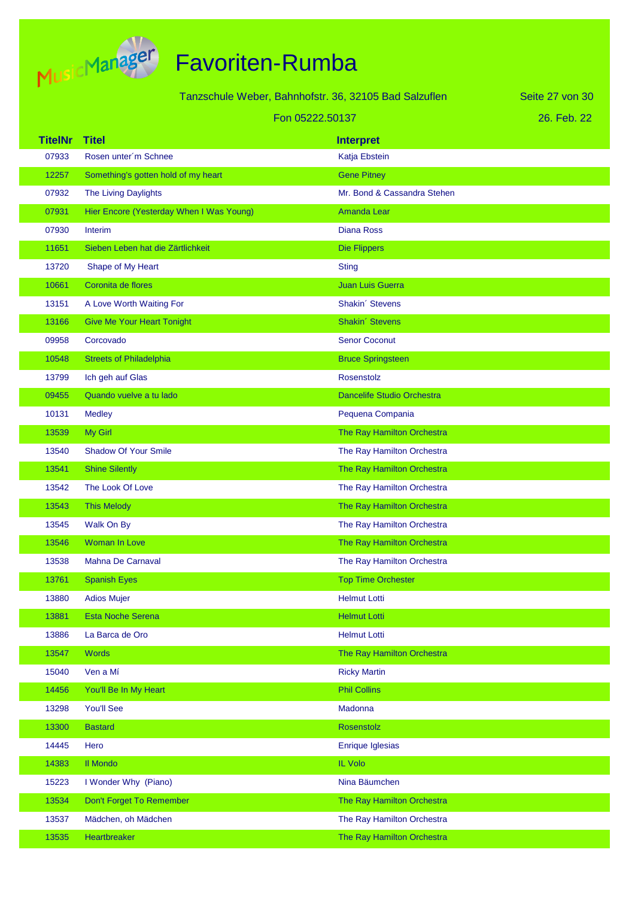

|                |                                          | Tanzschule Weber, Bahnhofstr. 36, 32105 Bad Salzuflen | Seite 27 von 30 |
|----------------|------------------------------------------|-------------------------------------------------------|-----------------|
|                | Fon 05222.50137                          |                                                       |                 |
|                |                                          |                                                       | 26. Feb. 22     |
| <b>TitelNr</b> | <b>Titel</b>                             | <b>Interpret</b>                                      |                 |
| 07933          | Rosen unter'm Schnee                     | Katja Ebstein                                         |                 |
| 12257          | Something's gotten hold of my heart      | <b>Gene Pitney</b>                                    |                 |
| 07932          | The Living Daylights                     | Mr. Bond & Cassandra Stehen                           |                 |
| 07931          | Hier Encore (Yesterday When I Was Young) | <b>Amanda Lear</b>                                    |                 |
| 07930          | Interim                                  | <b>Diana Ross</b>                                     |                 |
| 11651          | Sieben Leben hat die Zärtlichkeit        | <b>Die Flippers</b>                                   |                 |
| 13720          | Shape of My Heart                        | <b>Sting</b>                                          |                 |
| 10661          | Coronita de flores                       | Juan Luis Guerra                                      |                 |
| 13151          | A Love Worth Waiting For                 | Shakin' Stevens                                       |                 |
| 13166          | <b>Give Me Your Heart Tonight</b>        | Shakin' Stevens                                       |                 |
| 09958          | Corcovado                                | <b>Senor Coconut</b>                                  |                 |
| 10548          | <b>Streets of Philadelphia</b>           | <b>Bruce Springsteen</b>                              |                 |
| 13799          | Ich geh auf Glas                         | Rosenstolz                                            |                 |
| 09455          | Quando vuelve a tu lado                  | <b>Dancelife Studio Orchestra</b>                     |                 |
| 10131          | <b>Medley</b>                            | Pequena Compania                                      |                 |
| 13539          | My Girl                                  | The Ray Hamilton Orchestra                            |                 |
| 13540          | <b>Shadow Of Your Smile</b>              | The Ray Hamilton Orchestra                            |                 |
| 13541          | <b>Shine Silently</b>                    | The Ray Hamilton Orchestra                            |                 |
| 13542          | The Look Of Love                         | The Ray Hamilton Orchestra                            |                 |
| 13543          | <b>This Melody</b>                       | The Ray Hamilton Orchestra                            |                 |
| 13545          | Walk On By                               | The Ray Hamilton Orchestra                            |                 |
| 13546          | Woman In Love                            | The Ray Hamilton Orchestra                            |                 |
| 13538          | <b>Mahna De Carnaval</b>                 | The Ray Hamilton Orchestra                            |                 |
| 13761          | <b>Spanish Eyes</b>                      | <b>Top Time Orchester</b>                             |                 |
| 13880          | <b>Adios Mujer</b>                       | <b>Helmut Lotti</b>                                   |                 |
| 13881          | <b>Esta Noche Serena</b>                 | <b>Helmut Lotti</b>                                   |                 |
| 13886          | La Barca de Oro                          | <b>Helmut Lotti</b>                                   |                 |
| 13547          | <b>Words</b>                             | The Ray Hamilton Orchestra                            |                 |
| 15040          | Ven a Mí                                 | <b>Ricky Martin</b>                                   |                 |
| 14456          | You'll Be In My Heart                    | <b>Phil Collins</b>                                   |                 |
| 13298          | You'll See                               | Madonna                                               |                 |
| 13300          | <b>Bastard</b>                           | Rosenstolz                                            |                 |
| 14445          | Hero                                     | <b>Enrique Iglesias</b>                               |                 |
| 14383          | <b>II Mondo</b>                          | IL Volo                                               |                 |
| 15223          | I Wonder Why (Piano)                     | Nina Bäumchen                                         |                 |
| 13534          | Don't Forget To Remember                 | The Ray Hamilton Orchestra                            |                 |
| 13537          | Mädchen, oh Mädchen                      | The Ray Hamilton Orchestra                            |                 |
| 13535          | Heartbreaker                             | The Ray Hamilton Orchestra                            |                 |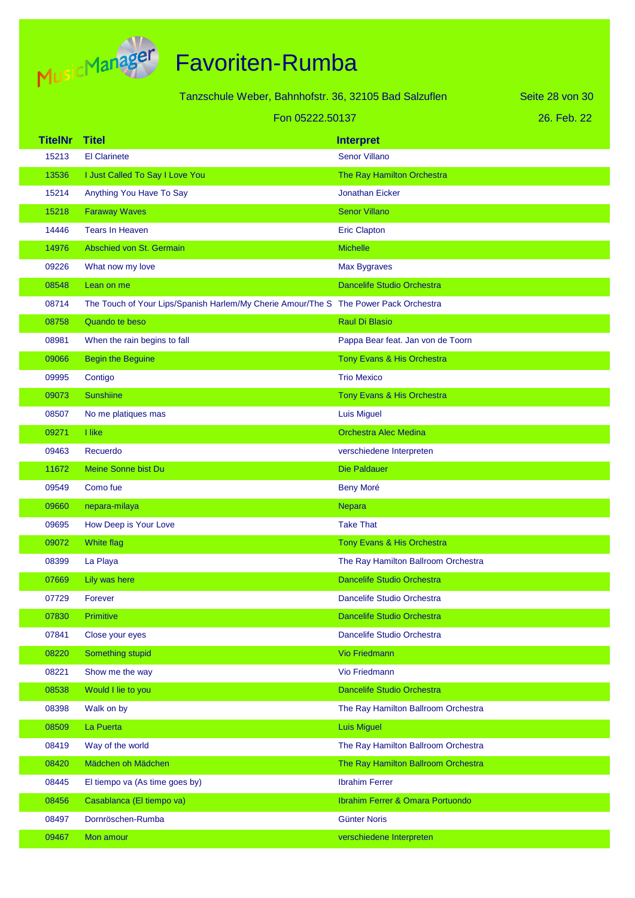

|                | Tanzschule Weber, Bahnhofstr. 36, 32105 Bad Salzuflen                                |                                     | Seite 28 von 30 |
|----------------|--------------------------------------------------------------------------------------|-------------------------------------|-----------------|
|                | Fon 05222.50137                                                                      |                                     | 26. Feb. 22     |
| <b>TitelNr</b> | <b>Titel</b>                                                                         | <b>Interpret</b>                    |                 |
| 15213          | <b>El Clarinete</b>                                                                  | <b>Senor Villano</b>                |                 |
| 13536          | I Just Called To Say I Love You                                                      | The Ray Hamilton Orchestra          |                 |
| 15214          | Anything You Have To Say                                                             | <b>Jonathan Eicker</b>              |                 |
| 15218          | <b>Faraway Waves</b>                                                                 | <b>Senor Villano</b>                |                 |
| 14446          | <b>Tears In Heaven</b>                                                               | <b>Eric Clapton</b>                 |                 |
| 14976          | Abschied von St. Germain                                                             | <b>Michelle</b>                     |                 |
| 09226          | What now my love                                                                     | Max Bygraves                        |                 |
| 08548          | Lean on me                                                                           | <b>Dancelife Studio Orchestra</b>   |                 |
| 08714          | The Touch of Your Lips/Spanish Harlem/My Cherie Amour/The S The Power Pack Orchestra |                                     |                 |
| 08758          | Quando te beso                                                                       | <b>Raul Di Blasio</b>               |                 |
| 08981          | When the rain begins to fall                                                         | Pappa Bear feat. Jan von de Toorn   |                 |
| 09066          | <b>Begin the Beguine</b>                                                             | Tony Evans & His Orchestra          |                 |
| 09995          | Contigo                                                                              | <b>Trio Mexico</b>                  |                 |
| 09073          | <b>Sunshiine</b>                                                                     | Tony Evans & His Orchestra          |                 |
| 08507          | No me platiques mas                                                                  | <b>Luis Miguel</b>                  |                 |
| 09271          | I like                                                                               | <b>Orchestra Alec Medina</b>        |                 |
| 09463          | Recuerdo                                                                             | verschiedene Interpreten            |                 |
| 11672          | Meine Sonne bist Du                                                                  | <b>Die Paldauer</b>                 |                 |
| 09549          | Como fue                                                                             | <b>Beny Moré</b>                    |                 |
| 09660          | nepara-milaya                                                                        | Nepara                              |                 |
| 09695          | How Deep is Your Love                                                                | <b>Take That</b>                    |                 |
| 09072          | White flag                                                                           | Tony Evans & His Orchestra          |                 |
| 08399          | La Playa                                                                             | The Ray Hamilton Ballroom Orchestra |                 |
| 07669          | Lily was here                                                                        | <b>Dancelife Studio Orchestra</b>   |                 |
| 07729          | Forever                                                                              | Dancelife Studio Orchestra          |                 |
| 07830          | Primitive                                                                            | Dancelife Studio Orchestra          |                 |
| 07841          | Close your eyes                                                                      | Dancelife Studio Orchestra          |                 |
| 08220          | Something stupid                                                                     | <b>Vio Friedmann</b>                |                 |
| 08221          | Show me the way                                                                      | Vio Friedmann                       |                 |
| 08538          | Would I lie to you                                                                   | Dancelife Studio Orchestra          |                 |
| 08398          | Walk on by                                                                           | The Ray Hamilton Ballroom Orchestra |                 |
| 08509          | La Puerta                                                                            | <b>Luis Miguel</b>                  |                 |
| 08419          | Way of the world                                                                     | The Ray Hamilton Ballroom Orchestra |                 |
| 08420          | Mädchen oh Mädchen                                                                   | The Ray Hamilton Ballroom Orchestra |                 |
| 08445          | El tiempo va (As time goes by)                                                       | <b>Ibrahim Ferrer</b>               |                 |
| 08456          | Casablanca (El tiempo va)                                                            | Ibrahim Ferrer & Omara Portuondo    |                 |
| 08497          | Dornröschen-Rumba                                                                    | <b>Günter Noris</b>                 |                 |
| 09467          | Mon amour                                                                            | verschiedene Interpreten            |                 |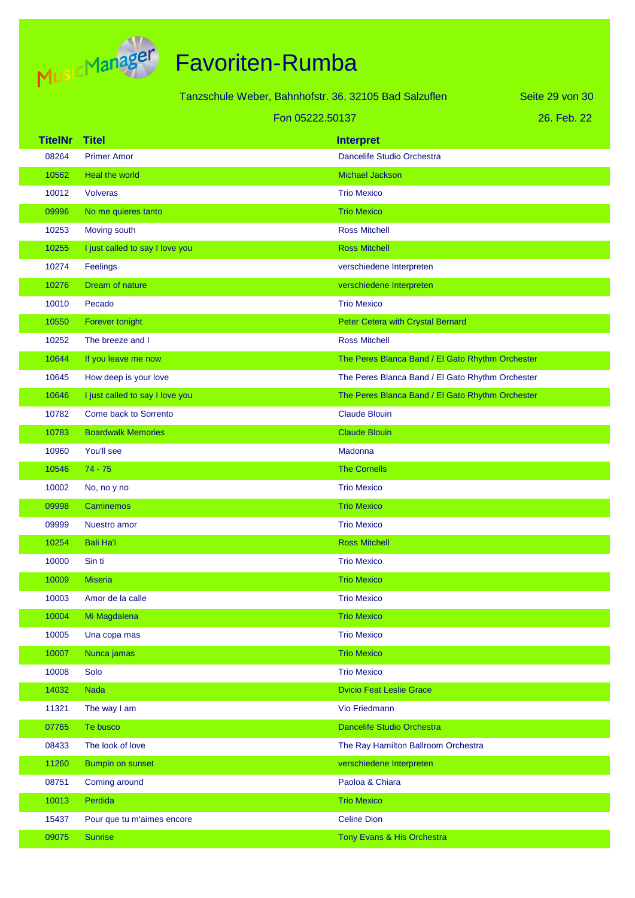

|                |                                 | Tanzschule Weber, Bahnhofstr. 36, 32105 Bad Salzuflen | Seite 29 von 30 |
|----------------|---------------------------------|-------------------------------------------------------|-----------------|
|                |                                 | Fon 05222.50137                                       | 26. Feb. 22     |
| <b>TitelNr</b> | <b>Titel</b>                    | <b>Interpret</b>                                      |                 |
| 08264          | <b>Primer Amor</b>              | Dancelife Studio Orchestra                            |                 |
| 10562          | Heal the world                  | <b>Michael Jackson</b>                                |                 |
| 10012          | <b>Volveras</b>                 | <b>Trio Mexico</b>                                    |                 |
| 09996          | No me quieres tanto             | <b>Trio Mexico</b>                                    |                 |
| 10253          | Moving south                    | <b>Ross Mitchell</b>                                  |                 |
| 10255          | I just called to say I love you | <b>Ross Mitchell</b>                                  |                 |
| 10274          | Feelings                        | verschiedene Interpreten                              |                 |
| 10276          | Dream of nature                 | verschiedene Interpreten                              |                 |
| 10010          | Pecado                          | <b>Trio Mexico</b>                                    |                 |
| 10550          | Forever tonight                 | Peter Cetera with Crystal Bernard                     |                 |
| 10252          | The breeze and I                | <b>Ross Mitchell</b>                                  |                 |
| 10644          | If you leave me now             | The Peres Blanca Band / El Gato Rhythm Orchester      |                 |
| 10645          | How deep is your love           | The Peres Blanca Band / El Gato Rhythm Orchester      |                 |
| 10646          | I just called to say I love you | The Peres Blanca Band / El Gato Rhythm Orchester      |                 |
| 10782          | Come back to Sorrento           | <b>Claude Blouin</b>                                  |                 |
| 10783          | <b>Boardwalk Memories</b>       | <b>Claude Blouin</b>                                  |                 |
| 10960          | You'll see                      | Madonna                                               |                 |
| 10546          | $74 - 75$                       | <b>The Cornells</b>                                   |                 |
| 10002          | No, no y no                     | <b>Trio Mexico</b>                                    |                 |
| 09998          | <b>Caminemos</b>                | <b>Trio Mexico</b>                                    |                 |
| 09999          | Nuestro amor                    | <b>Trio Mexico</b>                                    |                 |
| 10254          | <b>Bali Ha'i</b>                | <b>Ross Mitchell</b>                                  |                 |
| 10000          | Sin ti                          | <b>Trio Mexico</b>                                    |                 |
| 10009          | <b>Miseria</b>                  | <b>Trio Mexico</b>                                    |                 |
| 10003          | Amor de la calle                | <b>Trio Mexico</b>                                    |                 |
| 10004          | Mi Magdalena                    | <b>Trio Mexico</b>                                    |                 |
| 10005          | Una copa mas                    | <b>Trio Mexico</b>                                    |                 |
| 10007          | Nunca jamas                     | <b>Trio Mexico</b>                                    |                 |
| 10008          | Solo                            | <b>Trio Mexico</b>                                    |                 |
| 14032          | <b>Nada</b>                     | <b>Dvicio Feat Leslie Grace</b>                       |                 |
| 11321          | The way I am                    | Vio Friedmann                                         |                 |
| 07765          | Te busco                        | Dancelife Studio Orchestra                            |                 |
| 08433          | The look of love                | The Ray Hamilton Ballroom Orchestra                   |                 |
| 11260          | <b>Bumpin on sunset</b>         | verschiedene Interpreten                              |                 |
| 08751          | Coming around                   | Paoloa & Chiara                                       |                 |
| 10013          | Perdida                         | <b>Trio Mexico</b>                                    |                 |
| 15437          | Pour que tu m'aimes encore      | <b>Celine Dion</b>                                    |                 |
| 09075          | Sunrise                         | Tony Evans & His Orchestra                            |                 |